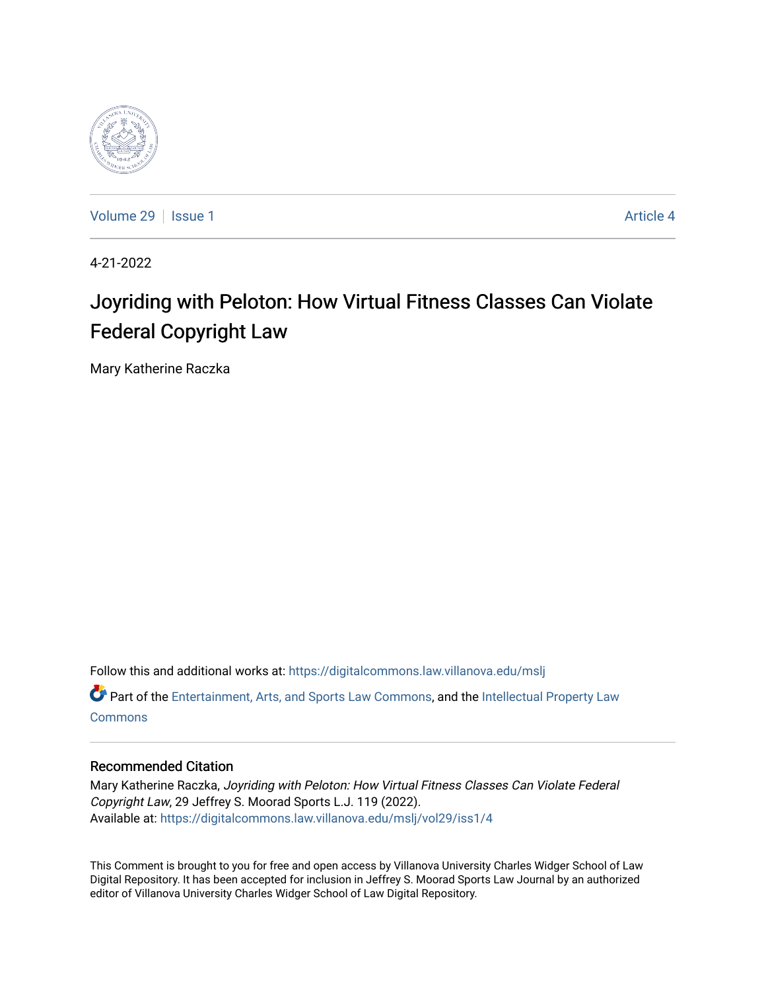

[Volume 29](https://digitalcommons.law.villanova.edu/mslj/vol29) | [Issue 1](https://digitalcommons.law.villanova.edu/mslj/vol29/iss1) Article 4

4-21-2022

# Joyriding with Peloton: How Virtual Fitness Classes Can Violate Federal Copyright Law

Mary Katherine Raczka

Follow this and additional works at: [https://digitalcommons.law.villanova.edu/mslj](https://digitalcommons.law.villanova.edu/mslj?utm_source=digitalcommons.law.villanova.edu%2Fmslj%2Fvol29%2Fiss1%2F4&utm_medium=PDF&utm_campaign=PDFCoverPages) Part of the [Entertainment, Arts, and Sports Law Commons](http://network.bepress.com/hgg/discipline/893?utm_source=digitalcommons.law.villanova.edu%2Fmslj%2Fvol29%2Fiss1%2F4&utm_medium=PDF&utm_campaign=PDFCoverPages), and the [Intellectual Property Law](http://network.bepress.com/hgg/discipline/896?utm_source=digitalcommons.law.villanova.edu%2Fmslj%2Fvol29%2Fiss1%2F4&utm_medium=PDF&utm_campaign=PDFCoverPages) **[Commons](http://network.bepress.com/hgg/discipline/896?utm_source=digitalcommons.law.villanova.edu%2Fmslj%2Fvol29%2Fiss1%2F4&utm_medium=PDF&utm_campaign=PDFCoverPages)** 

# Recommended Citation

Mary Katherine Raczka, Joyriding with Peloton: How Virtual Fitness Classes Can Violate Federal Copyright Law, 29 Jeffrey S. Moorad Sports L.J. 119 (2022). Available at: [https://digitalcommons.law.villanova.edu/mslj/vol29/iss1/4](https://digitalcommons.law.villanova.edu/mslj/vol29/iss1/4?utm_source=digitalcommons.law.villanova.edu%2Fmslj%2Fvol29%2Fiss1%2F4&utm_medium=PDF&utm_campaign=PDFCoverPages) 

This Comment is brought to you for free and open access by Villanova University Charles Widger School of Law Digital Repository. It has been accepted for inclusion in Jeffrey S. Moorad Sports Law Journal by an authorized editor of Villanova University Charles Widger School of Law Digital Repository.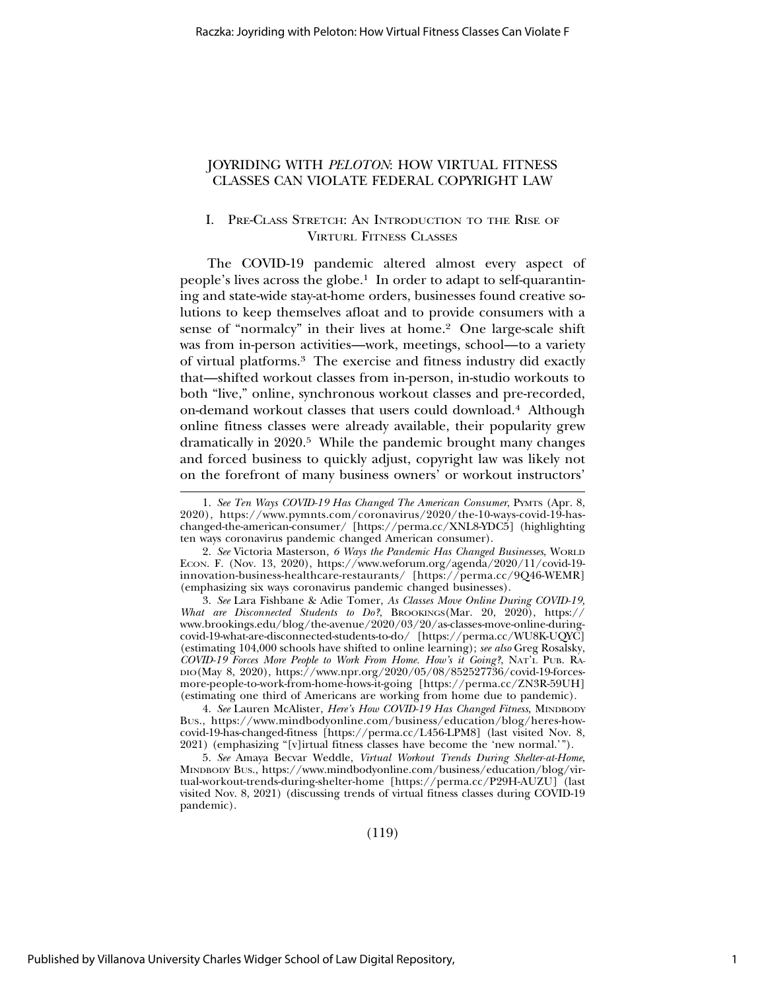# JOYRIDING WITH *PELOTON*: HOW VIRTUAL FITNESS CLASSES CAN VIOLATE FEDERAL COPYRIGHT LAW

# I. PRE-CLASS STRETCH: AN INTRODUCTION TO THE RISE OF VIRTURL FITNESS CLASSES

The COVID-19 pandemic altered almost every aspect of people's lives across the globe.1 In order to adapt to self-quarantining and state-wide stay-at-home orders, businesses found creative solutions to keep themselves afloat and to provide consumers with a sense of "normalcy" in their lives at home.2 One large-scale shift was from in-person activities—work, meetings, school—to a variety of virtual platforms.3 The exercise and fitness industry did exactly that—shifted workout classes from in-person, in-studio workouts to both "live," online, synchronous workout classes and pre-recorded, on-demand workout classes that users could download.4 Although online fitness classes were already available, their popularity grew dramatically in 2020.5 While the pandemic brought many changes and forced business to quickly adjust, copyright law was likely not on the forefront of many business owners' or workout instructors'

3. *See* Lara Fishbane & Adie Tomer, *As Classes Move Online During COVID-19, What are Disconnected Students to Do?*, BROOKINGS(Mar. 20, 2020), https:// www.brookings.edu/blog/the-avenue/2020/03/20/as-classes-move-online-duringcovid-19-what-are-disconnected-students-to-do/ [https://perma.cc/WU8K-UQYC] (estimating 104,000 schools have shifted to online learning); *see also* Greg Rosalsky, *COVID-19 Forces More People to Work From Home. How's it Going?*, NAT'L PUB. RA-DIO(May 8, 2020), https://www.npr.org/2020/05/08/852527736/covid-19-forcesmore-people-to-work-from-home-hows-it-going [https://perma.cc/ZN3R-59UH] (estimating one third of Americans are working from home due to pandemic).

4. *See* Lauren McAlister, *Here's How COVID-19 Has Changed Fitness*, MINDBODY BUS., https://www.mindbodyonline.com/business/education/blog/heres-howcovid-19-has-changed-fitness [https://perma.cc/L456-LPM8] (last visited Nov. 8, 2021) (emphasizing "[v]irtual fitness classes have become the 'new normal.'").

5. *See* Amaya Becvar Weddle, *Virtual Workout Trends During Shelter-at-Home*, MINDBODY BUS., https://www.mindbodyonline.com/business/education/blog/virtual-workout-trends-during-shelter-home [https://perma.cc/P29H-AUZU] (last visited Nov. 8, 2021) (discussing trends of virtual fitness classes during COVID-19 pandemic).

(119)

<sup>1.</sup> *See Ten Ways COVID-19 Has Changed The American Consumer*, PYMTS (Apr. 8, 2020), https://www.pymnts.com/coronavirus/2020/the-10-ways-covid-19-haschanged-the-american-consumer/ [https://perma.cc/XNL8-YDC5] (highlighting ten ways coronavirus pandemic changed American consumer).

<sup>2.</sup> *See* Victoria Masterson, *6 Ways the Pandemic Has Changed Businesses*, WORLD ECON. F. (Nov. 13, 2020), https://www.weforum.org/agenda/2020/11/covid-19 innovation-business-healthcare-restaurants/ [https://perma.cc/9Q46-WEMR] (emphasizing six ways coronavirus pandemic changed businesses).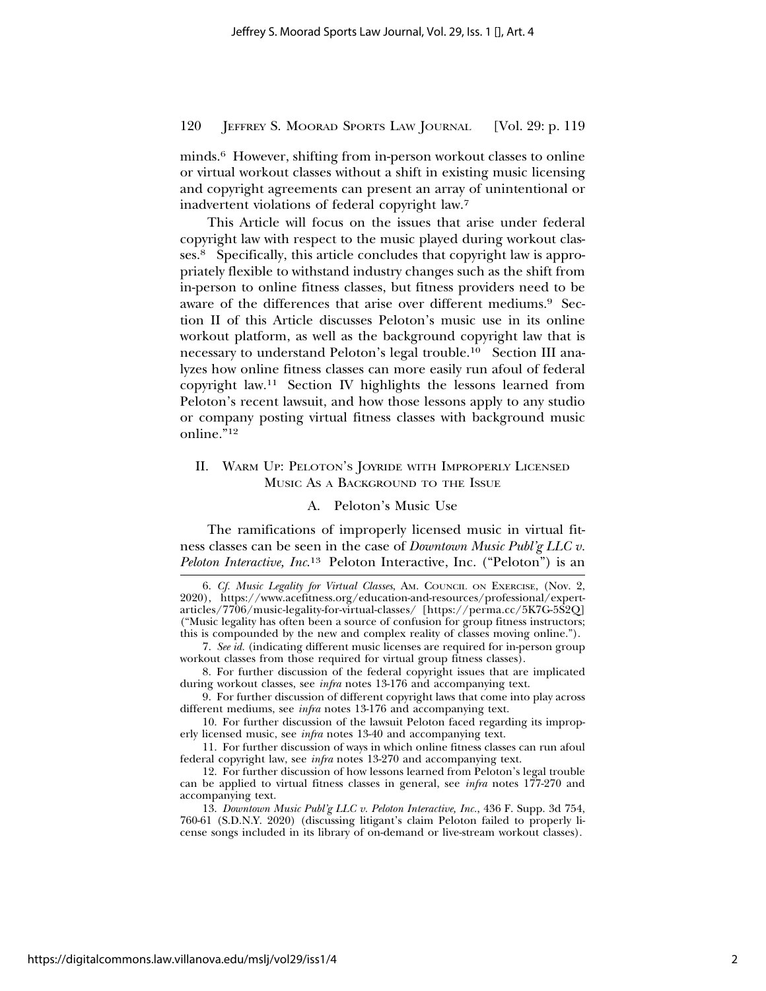minds.6 However, shifting from in-person workout classes to online or virtual workout classes without a shift in existing music licensing and copyright agreements can present an array of unintentional or inadvertent violations of federal copyright law.7

This Article will focus on the issues that arise under federal copyright law with respect to the music played during workout classes.8 Specifically, this article concludes that copyright law is appropriately flexible to withstand industry changes such as the shift from in-person to online fitness classes, but fitness providers need to be aware of the differences that arise over different mediums.9 Section II of this Article discusses Peloton's music use in its online workout platform, as well as the background copyright law that is necessary to understand Peloton's legal trouble.10 Section III analyzes how online fitness classes can more easily run afoul of federal copyright law.11 Section IV highlights the lessons learned from Peloton's recent lawsuit, and how those lessons apply to any studio or company posting virtual fitness classes with background music online."12

# II. WARM UP: PELOTON'S JOYRIDE WITH IMPROPERLY LICENSED MUSIC AS A BACKGROUND TO THE ISSUE

#### A. Peloton's Music Use

The ramifications of improperly licensed music in virtual fitness classes can be seen in the case of *Downtown Music Publ'g LLC v. Peloton Interactive, Inc*. 13 Peloton Interactive, Inc. ("Peloton") is an

6. *Cf. Music Legality for Virtual Classes*, AM. COUNCIL ON EXERCISE, (Nov. 2, 2020), https://www.acefitness.org/education-and-resources/professional/expertarticles/7706/music-legality-for-virtual-classes/ [https://perma.cc/5K7G-5S2Q] ("Music legality has often been a source of confusion for group fitness instructors; this is compounded by the new and complex reality of classes moving online.").

7. *See id.* (indicating different music licenses are required for in-person group workout classes from those required for virtual group fitness classes).

8. For further discussion of the federal copyright issues that are implicated during workout classes, see *infra* notes 13-176 and accompanying text.

9. For further discussion of different copyright laws that come into play across different mediums, see *infra* notes 13-176 and accompanying text.

10. For further discussion of the lawsuit Peloton faced regarding its improperly licensed music, see *infra* notes 13-40 and accompanying text.

11. For further discussion of ways in which online fitness classes can run afoul federal copyright law, see *infra* notes 13-270 and accompanying text.

12. For further discussion of how lessons learned from Peloton's legal trouble can be applied to virtual fitness classes in general, see *infra* notes 177-270 and accompanying text.

13. *Downtown Music Publ'g LLC v. Peloton Interactive, Inc.*, 436 F. Supp. 3d 754, 760-61 (S.D.N.Y. 2020) (discussing litigant's claim Peloton failed to properly license songs included in its library of on-demand or live-stream workout classes).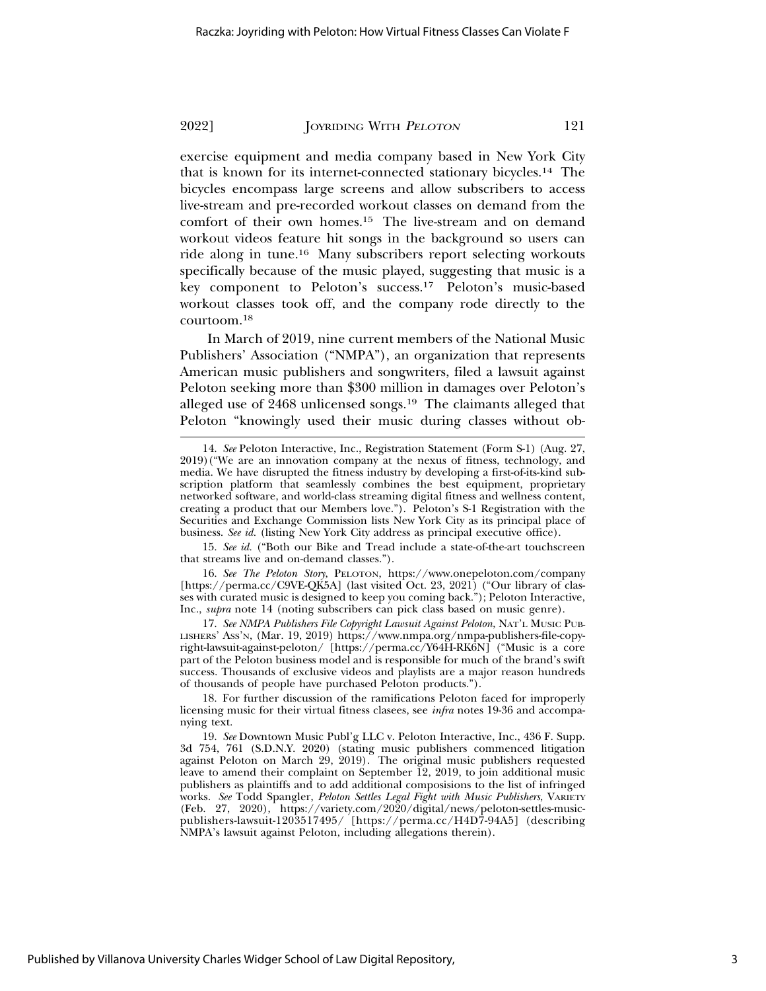exercise equipment and media company based in New York City that is known for its internet-connected stationary bicycles.14 The bicycles encompass large screens and allow subscribers to access live-stream and pre-recorded workout classes on demand from the comfort of their own homes.15 The live-stream and on demand workout videos feature hit songs in the background so users can ride along in tune.16 Many subscribers report selecting workouts specifically because of the music played, suggesting that music is a key component to Peloton's success.17 Peloton's music-based workout classes took off, and the company rode directly to the courtoom.18

In March of 2019, nine current members of the National Music Publishers' Association ("NMPA"), an organization that represents American music publishers and songwriters, filed a lawsuit against Peloton seeking more than \$300 million in damages over Peloton's alleged use of 2468 unlicensed songs.<sup>19</sup> The claimants alleged that Peloton "knowingly used their music during classes without ob-

15. *See id.* ("Both our Bike and Tread include a state-of-the-art touchscreen that streams live and on-demand classes.").

16. *See The Peloton Story*, PELOTON, https://www.onepeloton.com/company [https://perma.cc/C9VE-QK5A] (last visited Oct. 23, 2021) ("Our library of classes with curated music is designed to keep you coming back."); Peloton Interactive, Inc., *supra* note 14 (noting subscribers can pick class based on music genre).

17. *See NMPA Publishers File Copyright Lawsuit Against Peloton*, NAT'L MUSIC PUB-LISHERS' ASS'N, (Mar. 19, 2019) https://www.nmpa.org/nmpa-publishers-file-copyright-lawsuit-against-peloton/ [https://perma.cc/Y64H-RK6N] ("Music is a core part of the Peloton business model and is responsible for much of the brand's swift success. Thousands of exclusive videos and playlists are a major reason hundreds of thousands of people have purchased Peloton products.").

18. For further discussion of the ramifications Peloton faced for improperly licensing music for their virtual fitness clasees, see *infra* notes 19-36 and accompanying text.

19. *See* Downtown Music Publ'g LLC v. Peloton Interactive, Inc., 436 F. Supp. 3d 754, 761 (S.D.N.Y. 2020) (stating music publishers commenced litigation against Peloton on March 29, 2019). The original music publishers requested leave to amend their complaint on September 12, 2019, to join additional music publishers as plaintiffs and to add additional composisions to the list of infringed works. *See* Todd Spangler, *Peloton Settles Legal Fight with Music Publishers*, VARIETY (Feb. 27, 2020), https://variety.com/2020/digital/news/peloton-settles-musicpublishers-lawsuit-1203517495/ [https://perma.cc/H4D7-94A5] (describing NMPA's lawsuit against Peloton, including allegations therein).

<sup>14.</sup> *See* Peloton Interactive, Inc., Registration Statement (Form S-1) (Aug. 27, 2019)("We are an innovation company at the nexus of fitness, technology, and media. We have disrupted the fitness industry by developing a first-of-its-kind subscription platform that seamlessly combines the best equipment, proprietary networked software, and world-class streaming digital fitness and wellness content, creating a product that our Members love."). Peloton's S-1 Registration with the Securities and Exchange Commission lists New York City as its principal place of business. *See id.* (listing New York City address as principal executive office).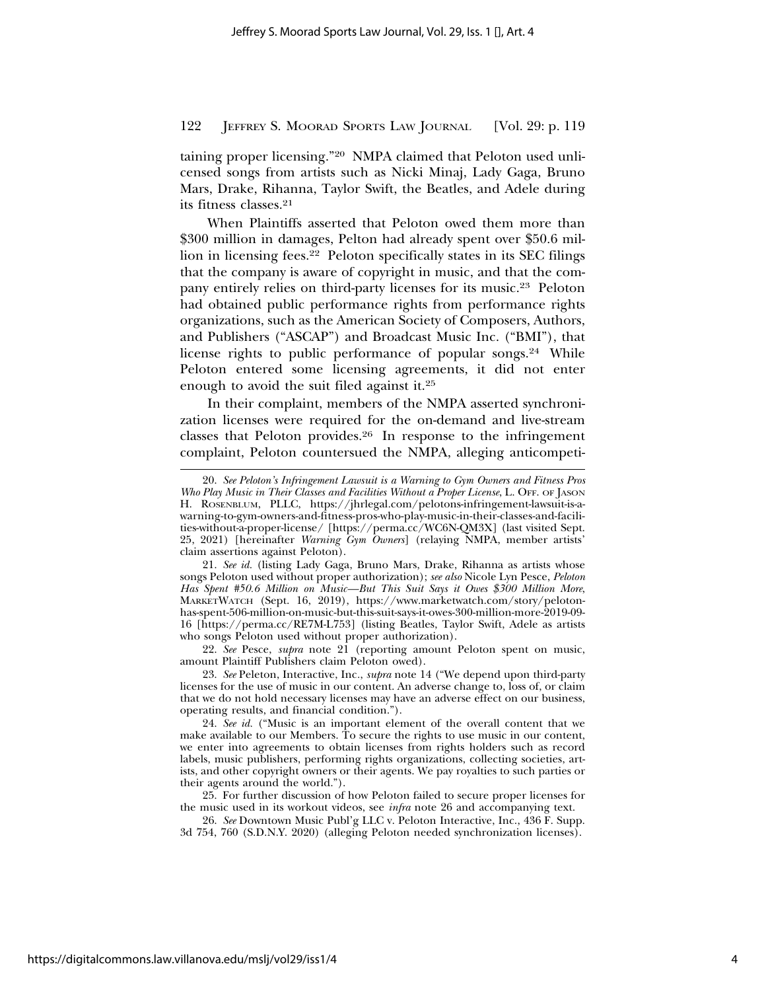taining proper licensing."20 NMPA claimed that Peloton used unlicensed songs from artists such as Nicki Minaj, Lady Gaga, Bruno Mars, Drake, Rihanna, Taylor Swift, the Beatles, and Adele during its fitness classes.21

When Plaintiffs asserted that Peloton owed them more than \$300 million in damages, Pelton had already spent over \$50.6 million in licensing fees.22 Peloton specifically states in its SEC filings that the company is aware of copyright in music, and that the company entirely relies on third-party licenses for its music.23 Peloton had obtained public performance rights from performance rights organizations, such as the American Society of Composers, Authors, and Publishers ("ASCAP") and Broadcast Music Inc. ("BMI"), that license rights to public performance of popular songs.<sup>24</sup> While Peloton entered some licensing agreements, it did not enter enough to avoid the suit filed against it.25

In their complaint, members of the NMPA asserted synchronization licenses were required for the on-demand and live-stream classes that Peloton provides.26 In response to the infringement complaint, Peloton countersued the NMPA, alleging anticompeti-

22. *See* Pesce, *supra* note 21 (reporting amount Peloton spent on music, amount Plaintiff Publishers claim Peloton owed).

23. *See* Peleton, Interactive, Inc*.*, *supra* note 14 ("We depend upon third-party licenses for the use of music in our content. An adverse change to, loss of, or claim that we do not hold necessary licenses may have an adverse effect on our business, operating results, and financial condition.").

24. *See id.* ("Music is an important element of the overall content that we make available to our Members. To secure the rights to use music in our content, we enter into agreements to obtain licenses from rights holders such as record labels, music publishers, performing rights organizations, collecting societies, artists, and other copyright owners or their agents. We pay royalties to such parties or their agents around the world.").

25. For further discussion of how Peloton failed to secure proper licenses for the music used in its workout videos, see *infra* note 26 and accompanying text.

26. *See* Downtown Music Publ'g LLC v. Peloton Interactive, Inc., 436 F. Supp. 3d 754, 760 (S.D.N.Y. 2020) (alleging Peloton needed synchronization licenses).

<sup>20.</sup> *See Peloton's Infringement Lawsuit is a Warning to Gym Owners and Fitness Pros Who Play Music in Their Classes and Facilities Without a Proper License*, L. OFF. OF JASON H. ROSENBLUM, PLLC, https://jhrlegal.com/pelotons-infringement-lawsuit-is-awarning-to-gym-owners-and-fitness-pros-who-play-music-in-their-classes-and-facilities-without-a-proper-license/ [https://perma.cc/WC6N-QM3X] (last visited Sept. 25, 2021) [hereinafter *Warning Gym Owners*] (relaying NMPA, member artists' claim assertions against Peloton).

<sup>21.</sup> *See id.* (listing Lady Gaga, Bruno Mars, Drake, Rihanna as artists whose songs Peloton used without proper authorization); *see also* Nicole Lyn Pesce, *Peloton Has Spent #50.6 Million on Music—But This Suit Says it Owes \$300 Million More*, MARKETWATCH (Sept. 16, 2019), https://www.marketwatch.com/story/pelotonhas-spent-506-million-on-music-but-this-suit-says-it-owes-300-million-more-2019-09- 16 [https://perma.cc/RE7M-L753] (listing Beatles, Taylor Swift, Adele as artists who songs Peloton used without proper authorization).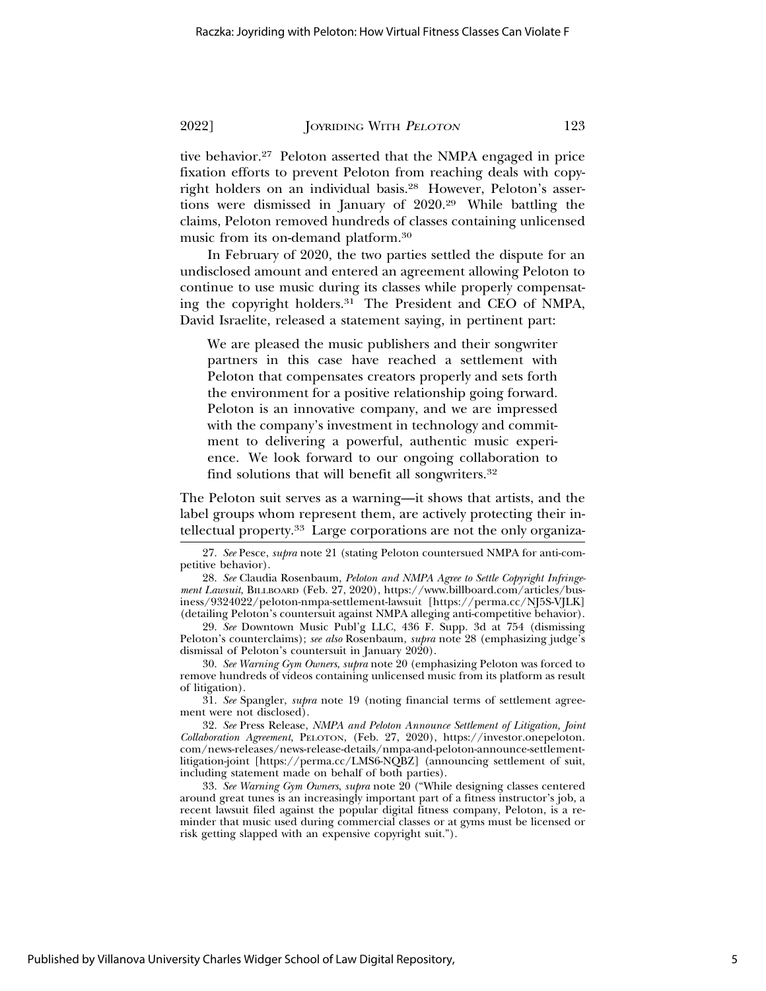tive behavior.27 Peloton asserted that the NMPA engaged in price fixation efforts to prevent Peloton from reaching deals with copyright holders on an individual basis.28 However, Peloton's assertions were dismissed in January of 2020.29 While battling the claims, Peloton removed hundreds of classes containing unlicensed music from its on-demand platform.30

In February of 2020, the two parties settled the dispute for an undisclosed amount and entered an agreement allowing Peloton to continue to use music during its classes while properly compensating the copyright holders.<sup>31</sup> The President and CEO of NMPA, David Israelite, released a statement saying, in pertinent part:

We are pleased the music publishers and their songwriter partners in this case have reached a settlement with Peloton that compensates creators properly and sets forth the environment for a positive relationship going forward. Peloton is an innovative company, and we are impressed with the company's investment in technology and commitment to delivering a powerful, authentic music experience. We look forward to our ongoing collaboration to find solutions that will benefit all songwriters.32

The Peloton suit serves as a warning—it shows that artists, and the label groups whom represent them, are actively protecting their intellectual property.33 Large corporations are not the only organiza-

31. *See* Spangler, *supra* note 19 (noting financial terms of settlement agreement were not disclosed).

<sup>27.</sup> *See* Pesce, *supra* note 21 (stating Peloton countersued NMPA for anti-competitive behavior).

<sup>28.</sup> *See* Claudia Rosenbaum, *Peloton and NMPA Agree to Settle Copyright Infringement Lawsuit*, BILLBOARD (Feb. 27, 2020), https://www.billboard.com/articles/business/9324022/peloton-nmpa-settlement-lawsuit [https://perma.cc/NJ5S-VJLK] (detailing Peloton's countersuit against NMPA alleging anti-competitive behavior).

<sup>29.</sup> *See* Downtown Music Publ'g LLC, 436 F. Supp. 3d at 754 (dismissing Peloton's counterclaims); *see also* Rosenbaum, *supra* note 28 (emphasizing judge's dismissal of Peloton's countersuit in January 2020).

<sup>30.</sup> *See Warning Gym Owners*, *supra* note 20 (emphasizing Peloton was forced to remove hundreds of videos containing unlicensed music from its platform as result of litigation).

<sup>32.</sup> *See* Press Release, *NMPA and Peloton Announce Settlement of Litigation, Joint Collaboration Agreement*, PELOTON, (Feb. 27, 2020), https://investor.onepeloton. com/news-releases/news-release-details/nmpa-and-peloton-announce-settlementlitigation-joint [https://perma.cc/LMS6-NQBZ] (announcing settlement of suit, including statement made on behalf of both parties).

<sup>33.</sup> *See Warning Gym Owners*, *supra* note 20 ("While designing classes centered around great tunes is an increasingly important part of a fitness instructor's job, a recent lawsuit filed against the popular digital fitness company, Peloton, is a reminder that music used during commercial classes or at gyms must be licensed or risk getting slapped with an expensive copyright suit.").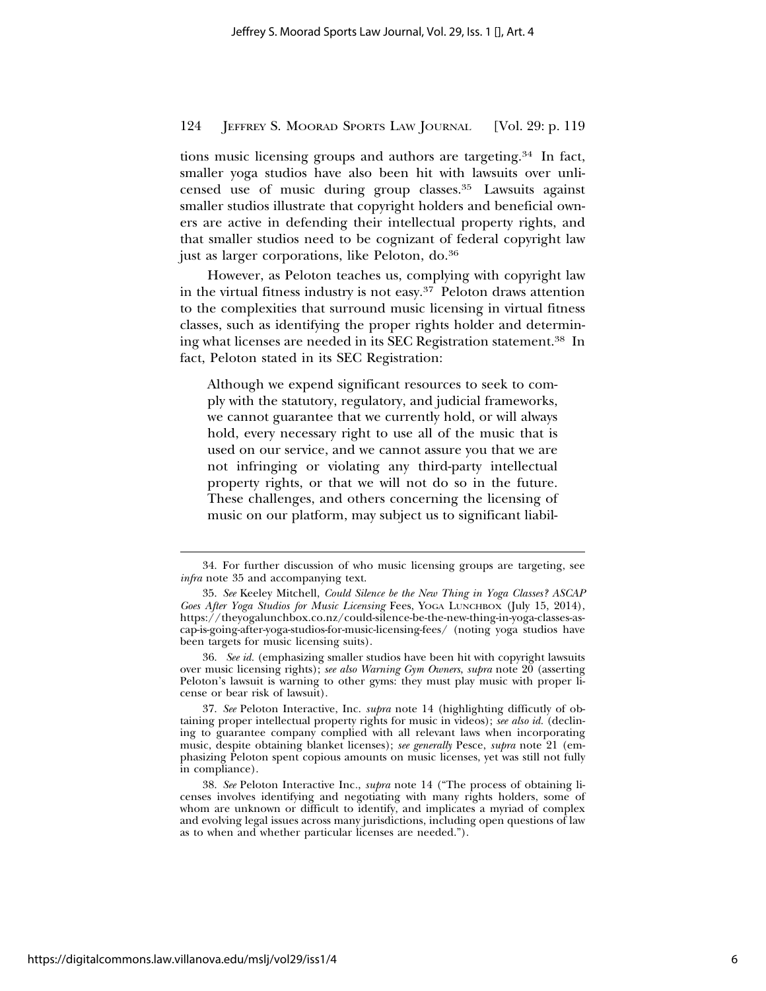tions music licensing groups and authors are targeting.34 In fact, smaller yoga studios have also been hit with lawsuits over unlicensed use of music during group classes.35 Lawsuits against smaller studios illustrate that copyright holders and beneficial owners are active in defending their intellectual property rights, and that smaller studios need to be cognizant of federal copyright law just as larger corporations, like Peloton, do.36

However, as Peloton teaches us, complying with copyright law in the virtual fitness industry is not easy.37 Peloton draws attention to the complexities that surround music licensing in virtual fitness classes, such as identifying the proper rights holder and determining what licenses are needed in its SEC Registration statement.38 In fact, Peloton stated in its SEC Registration:

Although we expend significant resources to seek to comply with the statutory, regulatory, and judicial frameworks, we cannot guarantee that we currently hold, or will always hold, every necessary right to use all of the music that is used on our service, and we cannot assure you that we are not infringing or violating any third-party intellectual property rights, or that we will not do so in the future. These challenges, and others concerning the licensing of music on our platform, may subject us to significant liabil-

36. *See id.* (emphasizing smaller studios have been hit with copyright lawsuits over music licensing rights); *see also Warning Gym Owners*, *supra* note 20 (asserting Peloton's lawsuit is warning to other gyms: they must play music with proper license or bear risk of lawsuit).

<sup>34.</sup> For further discussion of who music licensing groups are targeting, see *infra* note 35 and accompanying text.

<sup>35.</sup> *See* Keeley Mitchell, *Could Silence be the New Thing in Yoga Classes? ASCAP Goes After Yoga Studios for Music Licensing* Fees, YOGA LUNCHBOX (July 15, 2014), https://theyogalunchbox.co.nz/could-silence-be-the-new-thing-in-yoga-classes-ascap-is-going-after-yoga-studios-for-music-licensing-fees/ (noting yoga studios have been targets for music licensing suits).

<sup>37.</sup> *See* Peloton Interactive, Inc. *supra* note 14 (highlighting difficutly of obtaining proper intellectual property rights for music in videos); *see also id.* (declining to guarantee company complied with all relevant laws when incorporating music, despite obtaining blanket licenses); *see generally* Pesce, *supra* note 21 (emphasizing Peloton spent copious amounts on music licenses, yet was still not fully in compliance).

<sup>38.</sup> *See* Peloton Interactive Inc*.*, *supra* note 14 ("The process of obtaining licenses involves identifying and negotiating with many rights holders, some of whom are unknown or difficult to identify, and implicates a myriad of complex and evolving legal issues across many jurisdictions, including open questions of law as to when and whether particular licenses are needed.").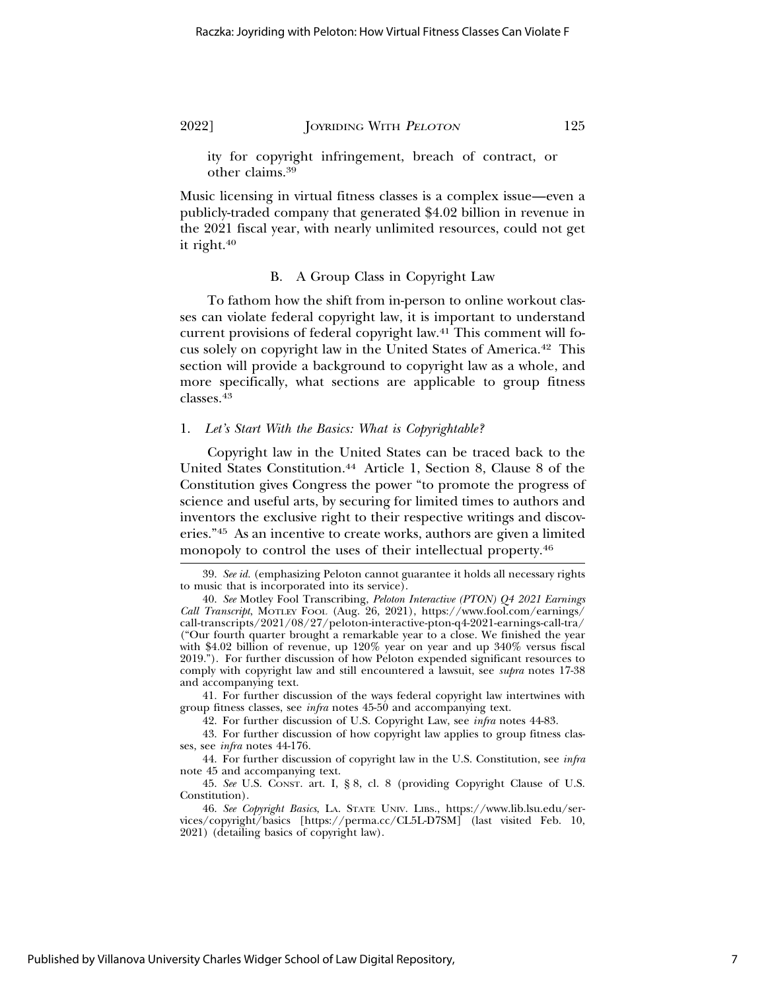ity for copyright infringement, breach of contract, or other claims.39

Music licensing in virtual fitness classes is a complex issue—even a publicly-traded company that generated \$4.02 billion in revenue in the 2021 fiscal year, with nearly unlimited resources, could not get it right.40

# B. A Group Class in Copyright Law

To fathom how the shift from in-person to online workout classes can violate federal copyright law, it is important to understand current provisions of federal copyright law.41 This comment will focus solely on copyright law in the United States of America.42 This section will provide a background to copyright law as a whole, and more specifically, what sections are applicable to group fitness classes.43

#### 1. *Let's Start With the Basics: What is Copyrightable?*

Copyright law in the United States can be traced back to the United States Constitution.44 Article 1, Section 8, Clause 8 of the Constitution gives Congress the power "to promote the progress of science and useful arts, by securing for limited times to authors and inventors the exclusive right to their respective writings and discoveries."45 As an incentive to create works, authors are given a limited monopoly to control the uses of their intellectual property.46

41. For further discussion of the ways federal copyright law intertwines with group fitness classes, see *infra* notes 45-50 and accompanying text.

42. For further discussion of U.S. Copyright Law, see *infra* notes 44-83.

43. For further discussion of how copyright law applies to group fitness classes, see *infra* notes 44-176.

44. For further discussion of copyright law in the U.S. Constitution, see *infra* note 45 and accompanying text.

45. *See* U.S. CONST. art. I, § 8, cl. 8 (providing Copyright Clause of U.S. Constitution).

46. *See Copyright Basics*, LA. STATE UNIV. LIBS., https://www.lib.lsu.edu/services/copyright/basics [https://perma.cc/CL5L-D7SM] (last visited Feb. 10, 2021) (detailing basics of copyright law).

<sup>39.</sup> *See id.* (emphasizing Peloton cannot guarantee it holds all necessary rights to music that is incorporated into its service).

<sup>40.</sup> *See* Motley Fool Transcribing, *Peloton Interactive (PTON) Q4 2021 Earnings Call Transcript*, MOTLEY FOOL (Aug. 26, 2021), https://www.fool.com/earnings/ call-transcripts/2021/08/27/peloton-interactive-pton-q4-2021-earnings-call-tra/ ("Our fourth quarter brought a remarkable year to a close. We finished the year with \$4.02 billion of revenue, up 120% year on year and up 340% versus fiscal 2019."). For further discussion of how Peloton expended significant resources to comply with copyright law and still encountered a lawsuit, see *supra* notes 17-38 and accompanying text.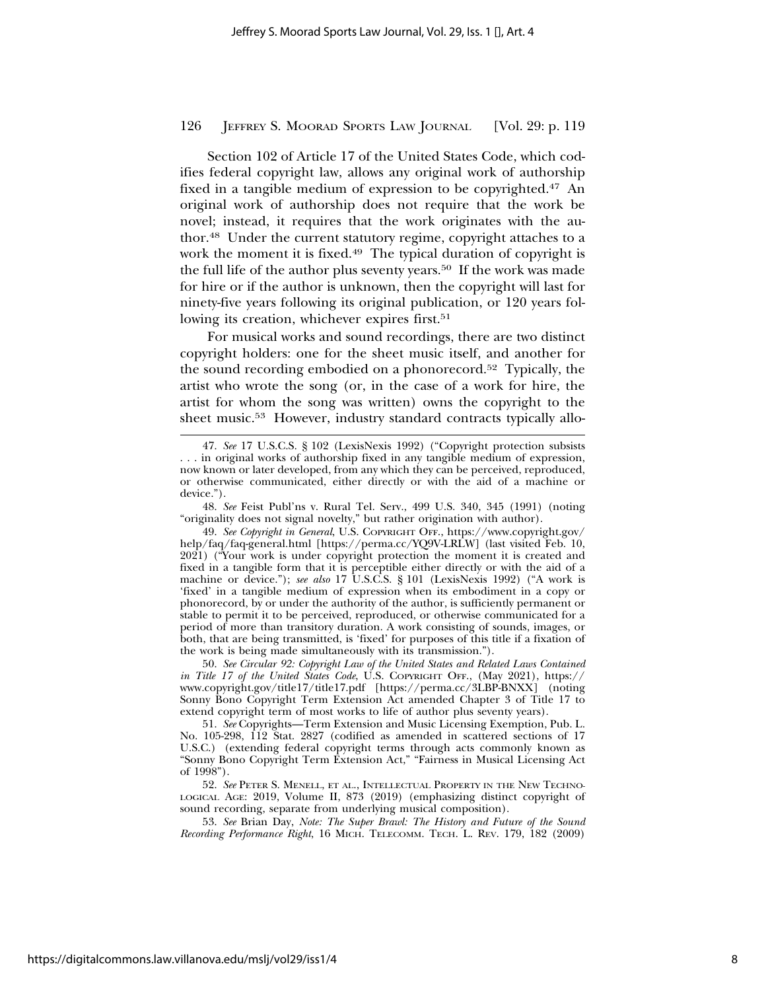Section 102 of Article 17 of the United States Code, which codifies federal copyright law, allows any original work of authorship fixed in a tangible medium of expression to be copyrighted.47 An original work of authorship does not require that the work be novel; instead, it requires that the work originates with the author.48 Under the current statutory regime, copyright attaches to a work the moment it is fixed.<sup>49</sup> The typical duration of copyright is the full life of the author plus seventy years.50 If the work was made for hire or if the author is unknown, then the copyright will last for ninety-five years following its original publication, or 120 years following its creation, whichever expires first.<sup>51</sup>

For musical works and sound recordings, there are two distinct copyright holders: one for the sheet music itself, and another for the sound recording embodied on a phonorecord.52 Typically, the artist who wrote the song (or, in the case of a work for hire, the artist for whom the song was written) owns the copyright to the sheet music.<sup>53</sup> However, industry standard contracts typically allo-

48. *See* Feist Publ'ns v. Rural Tel. Serv., 499 U.S. 340, 345 (1991) (noting "originality does not signal novelty," but rather origination with author).

53. *See* Brian Day, *Note: The Super Brawl: The History and Future of the Sound Recording Performance Right*, 16 MICH. TELECOMM. TECH. L. REV. 179, 182 (2009)

<sup>47.</sup> *See* 17 U.S.C.S. § 102 (LexisNexis 1992) ("Copyright protection subsists . . . in original works of authorship fixed in any tangible medium of expression, now known or later developed, from any which they can be perceived, reproduced, or otherwise communicated, either directly or with the aid of a machine or device.").

<sup>49.</sup> *See Copyright in General*, U.S. COPYRIGHT OFF., https://www.copyright.gov/ help/faq/faq-general.html [https://perma.cc/YQ9V-LRLW] (last visited Feb. 10, 2021) ("Your work is under copyright protection the moment it is created and fixed in a tangible form that it is perceptible either directly or with the aid of a machine or device."); *see also* 17 U.S.C.S. § 101 (LexisNexis 1992) ("A work is 'fixed' in a tangible medium of expression when its embodiment in a copy or phonorecord, by or under the authority of the author, is sufficiently permanent or stable to permit it to be perceived, reproduced, or otherwise communicated for a period of more than transitory duration. A work consisting of sounds, images, or both, that are being transmitted, is 'fixed' for purposes of this title if a fixation of the work is being made simultaneously with its transmission.").

<sup>50.</sup> *See Circular 92: Copyright Law of the United States and Related Laws Contained in Title 17 of the United States Code*, U.S. COPYRIGHT OFF., (May 2021), https:// www.copyright.gov/title17/title17.pdf [https://perma.cc/3LBP-BNXX] (noting Sonny Bono Copyright Term Extension Act amended Chapter 3 of Title 17 to extend copyright term of most works to life of author plus seventy years).

<sup>51.</sup> *See* Copyrights—Term Extension and Music Licensing Exemption, Pub. L. No. 105-298, 112 Stat. 2827 (codified as amended in scattered sections of 17 U.S.C.) (extending federal copyright terms through acts commonly known as "Sonny Bono Copyright Term Extension Act," "Fairness in Musical Licensing Act of 1998").

<sup>52.</sup> *See* PETER S. MENELL, ET AL., INTELLECTUAL PROPERTY IN THE NEW TECHNO-LOGICAL AGE: 2019, Volume II, 873 (2019) (emphasizing distinct copyright of sound recording, separate from underlying musical composition).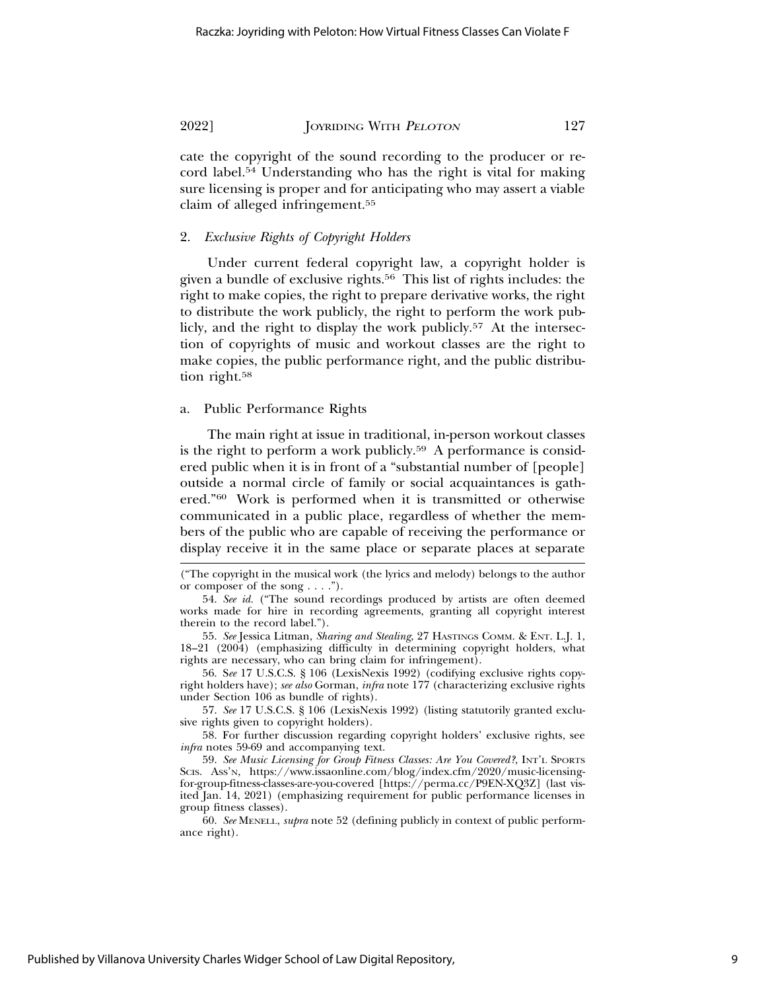cate the copyright of the sound recording to the producer or record label.54 Understanding who has the right is vital for making sure licensing is proper and for anticipating who may assert a viable claim of alleged infringement.55

# 2. *Exclusive Rights of Copyright Holders*

Under current federal copyright law, a copyright holder is given a bundle of exclusive rights.56 This list of rights includes: the right to make copies, the right to prepare derivative works, the right to distribute the work publicly, the right to perform the work publicly, and the right to display the work publicly.<sup>57</sup> At the intersection of copyrights of music and workout classes are the right to make copies, the public performance right, and the public distribution right.<sup>58</sup>

### a. Public Performance Rights

The main right at issue in traditional, in-person workout classes is the right to perform a work publicly.<sup>59</sup> A performance is considered public when it is in front of a "substantial number of [people] outside a normal circle of family or social acquaintances is gathered."60 Work is performed when it is transmitted or otherwise communicated in a public place, regardless of whether the members of the public who are capable of receiving the performance or display receive it in the same place or separate places at separate

56. S*ee* 17 U.S.C.S. § 106 (LexisNexis 1992) (codifying exclusive rights copyright holders have); *see also* Gorman, *infra* note 177 (characterizing exclusive rights under Section 106 as bundle of rights).

57. *See* 17 U.S.C.S. § 106 (LexisNexis 1992) (listing statutorily granted exclusive rights given to copyright holders).

58. For further discussion regarding copyright holders' exclusive rights, see *infra* notes 59-69 and accompanying text.

59. *See Music Licensing for Group Fitness Classes: Are You Covered?*, INT'L SPORTS SCIS. ASS'N, https://www.issaonline.com/blog/index.cfm/2020/music-licensingfor-group-fitness-classes-are-you-covered [https://perma.cc/P9EN-XQ3Z] (last visited Jan. 14, 2021) (emphasizing requirement for public performance licenses in group fitness classes).

60. *See* MENELL, *supra* note 52 (defining publicly in context of public performance right).

<sup>(&</sup>quot;The copyright in the musical work (the lyrics and melody) belongs to the author or composer of the song . . . .").

<sup>54.</sup> *See id.* ("The sound recordings produced by artists are often deemed works made for hire in recording agreements, granting all copyright interest therein to the record label.").

<sup>55.</sup> *See* Jessica Litman, *Sharing and Stealing*, 27 HASTINGS COMM. & ENT. L.J. 1, 18–21 (2004) (emphasizing difficulty in determining copyright holders, what rights are necessary, who can bring claim for infringement).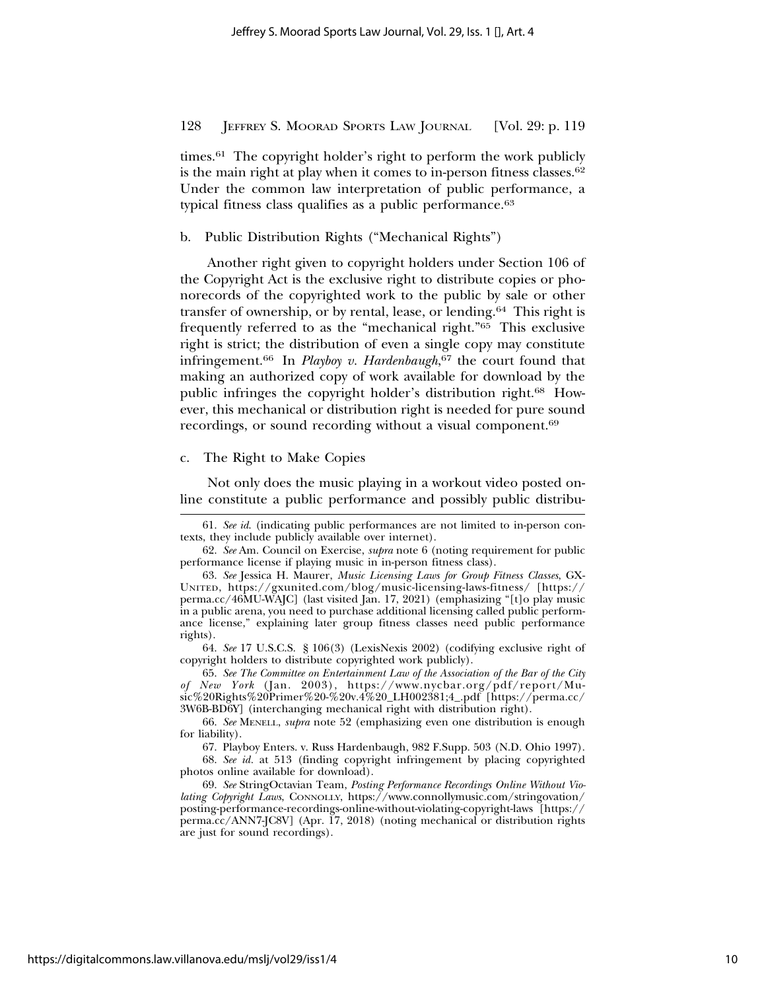times.61 The copyright holder's right to perform the work publicly is the main right at play when it comes to in-person fitness classes.<sup>62</sup> Under the common law interpretation of public performance, a typical fitness class qualifies as a public performance.<sup>63</sup>

b. Public Distribution Rights ("Mechanical Rights")

Another right given to copyright holders under Section 106 of the Copyright Act is the exclusive right to distribute copies or phonorecords of the copyrighted work to the public by sale or other transfer of ownership, or by rental, lease, or lending.64 This right is frequently referred to as the "mechanical right."65 This exclusive right is strict; the distribution of even a single copy may constitute infringement.66 In *Playboy v. Hardenbaugh*, 67 the court found that making an authorized copy of work available for download by the public infringes the copyright holder's distribution right.68 However, this mechanical or distribution right is needed for pure sound recordings, or sound recording without a visual component.69

#### c. The Right to Make Copies

Not only does the music playing in a workout video posted online constitute a public performance and possibly public distribu-

67. Playboy Enters. v. Russ Hardenbaugh, 982 F.Supp. 503 (N.D. Ohio 1997).

<sup>61.</sup> *See id*. (indicating public performances are not limited to in-person contexts, they include publicly available over internet).

<sup>62.</sup> *See* Am. Council on Exercise, *supra* note 6 (noting requirement for public performance license if playing music in in-person fitness class).

<sup>63.</sup> *See* Jessica H. Maurer, *Music Licensing Laws for Group Fitness Classes*, GX-UNITED, https://gxunited.com/blog/music-licensing-laws-fitness/ [https:// perma.cc/46MU-WAJC] (last visited Jan. 17, 2021) (emphasizing "[t]o play music in a public arena, you need to purchase additional licensing called public performance license," explaining later group fitness classes need public performance rights).

<sup>64.</sup> *See* 17 U.S.C.S. § 106(3) (LexisNexis 2002) (codifying exclusive right of copyright holders to distribute copyrighted work publicly).

<sup>65.</sup> *See The Committee on Entertainment Law of the Association of the Bar of the City of New York* (Jan. 2003), https://www.nycbar.org/pdf/report/Music%20Rights%20Primer%20-%20v.4%20\_LH002381;4\_.pdf [https://perma.cc/ 3W6B-BD6Y] (interchanging mechanical right with distribution right).

<sup>66.</sup> *See* MENELL, *supra* note 52 (emphasizing even one distribution is enough for liability).

<sup>68.</sup> *See id.* at 513 (finding copyright infringement by placing copyrighted photos online available for download).

<sup>69.</sup> *See* StringOctavian Team, *Posting Performance Recordings Online Without Violating Copyright Laws*, CONNOLLY, https://www.connollymusic.com/stringovation/ posting-performance-recordings-online-without-violating-copyright-laws [https:// perma.cc/ANN7-JC8V] (Apr. 17, 2018) (noting mechanical or distribution rights are just for sound recordings).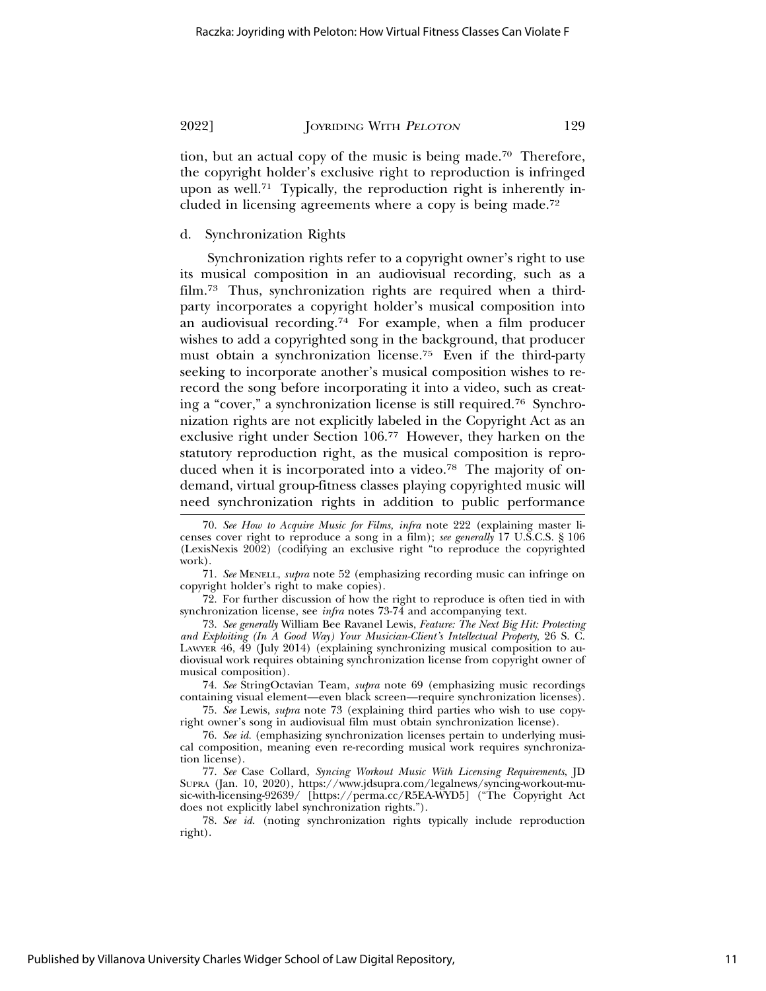tion, but an actual copy of the music is being made.70 Therefore, the copyright holder's exclusive right to reproduction is infringed upon as well.<sup>71</sup> Typically, the reproduction right is inherently included in licensing agreements where a copy is being made.72

# d. Synchronization Rights

Synchronization rights refer to a copyright owner's right to use its musical composition in an audiovisual recording, such as a film.73 Thus, synchronization rights are required when a thirdparty incorporates a copyright holder's musical composition into an audiovisual recording.74 For example, when a film producer wishes to add a copyrighted song in the background, that producer must obtain a synchronization license.75 Even if the third-party seeking to incorporate another's musical composition wishes to rerecord the song before incorporating it into a video, such as creating a "cover," a synchronization license is still required.76 Synchronization rights are not explicitly labeled in the Copyright Act as an exclusive right under Section 106.77 However, they harken on the statutory reproduction right, as the musical composition is reproduced when it is incorporated into a video.78 The majority of ondemand, virtual group-fitness classes playing copyrighted music will need synchronization rights in addition to public performance

74. *See* StringOctavian Team, *supra* note 69 (emphasizing music recordings containing visual element—even black screen—require synchronization licenses).

<sup>70.</sup> *See How to Acquire Music for Films, infra* note 222 (explaining master licenses cover right to reproduce a song in a film); *see generally* 17 U.S.C.S. § 106 (LexisNexis 2002) (codifying an exclusive right "to reproduce the copyrighted work).

<sup>71.</sup> *See* MENELL, *supra* note 52 (emphasizing recording music can infringe on copyright holder's right to make copies).

<sup>72.</sup> For further discussion of how the right to reproduce is often tied in with synchronization license, see *infra* notes 73-74 and accompanying text.

<sup>73.</sup> *See generally* William Bee Ravanel Lewis, *Feature: The Next Big Hit: Protecting and Exploiting (In A Good Way) Your Musician-Client's Intellectual Property*, 26 S. C. LAWYER 46, 49 (July 2014) (explaining synchronizing musical composition to audiovisual work requires obtaining synchronization license from copyright owner of musical composition).

<sup>75.</sup> *See* Lewis, *supra* note 73 (explaining third parties who wish to use copyright owner's song in audiovisual film must obtain synchronization license).

<sup>76.</sup> *See id.* (emphasizing synchronization licenses pertain to underlying musical composition, meaning even re-recording musical work requires synchronization license).

<sup>77.</sup> *See* Case Collard, *Syncing Workout Music With Licensing Requirements*, JD SUPRA (Jan. 10, 2020), https://www.jdsupra.com/legalnews/syncing-workout-music-with-licensing-92639/ [https://perma.cc/R5EA-WYD5] ("The Copyright Act does not explicitly label synchronization rights.").

<sup>78.</sup> *See id.* (noting synchronization rights typically include reproduction right).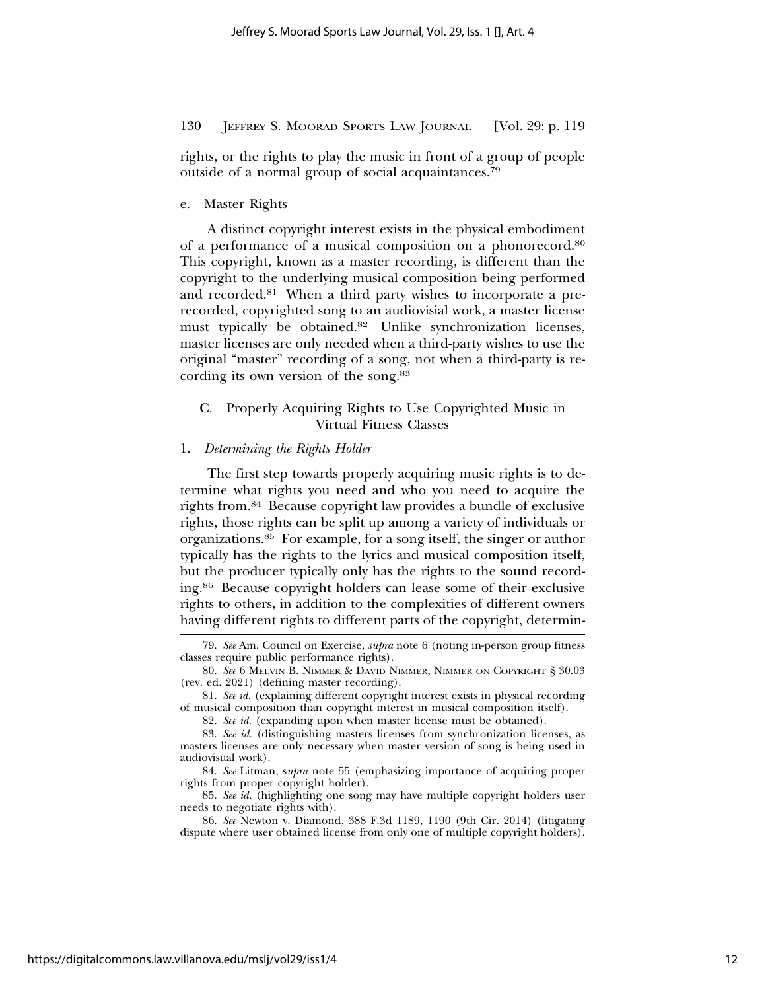rights, or the rights to play the music in front of a group of people outside of a normal group of social acquaintances.79

e. Master Rights

A distinct copyright interest exists in the physical embodiment of a performance of a musical composition on a phonorecord.80 This copyright, known as a master recording, is different than the copyright to the underlying musical composition being performed and recorded.81 When a third party wishes to incorporate a prerecorded, copyrighted song to an audiovisial work, a master license must typically be obtained.82 Unlike synchronization licenses, master licenses are only needed when a third-party wishes to use the original "master" recording of a song, not when a third-party is recording its own version of the song.83

# C. Properly Acquiring Rights to Use Copyrighted Music in Virtual Fitness Classes

#### 1. *Determining the Rights Holder*

The first step towards properly acquiring music rights is to determine what rights you need and who you need to acquire the rights from.84 Because copyright law provides a bundle of exclusive rights, those rights can be split up among a variety of individuals or organizations.85 For example, for a song itself, the singer or author typically has the rights to the lyrics and musical composition itself, but the producer typically only has the rights to the sound recording.86 Because copyright holders can lease some of their exclusive rights to others, in addition to the complexities of different owners having different rights to different parts of the copyright, determin-

<sup>79.</sup> *See* Am. Council on Exercise, *supra* note 6 (noting in-person group fitness classes require public performance rights).

<sup>80.</sup> *See* 6 MELVIN B. NIMMER & DAVID NIMMER, NIMMER ON COPYRIGHT § 30.03 (rev. ed. 2021) (defining master recording).

<sup>81.</sup> *See id.* (explaining different copyright interest exists in physical recording of musical composition than copyright interest in musical composition itself).

<sup>82.</sup> *See id.* (expanding upon when master license must be obtained).

<sup>83.</sup> *See id.* (distinguishing masters licenses from synchronization licenses, as masters licenses are only necessary when master version of song is being used in audiovisual work).

<sup>84.</sup> *See* Litman, s*upra* note 55 (emphasizing importance of acquiring proper rights from proper copyright holder).

<sup>85.</sup> *See id.* (highlighting one song may have multiple copyright holders user needs to negotiate rights with).

<sup>86.</sup> *See* Newton v. Diamond, 388 F.3d 1189, 1190 (9th Cir. 2014) (litigating dispute where user obtained license from only one of multiple copyright holders).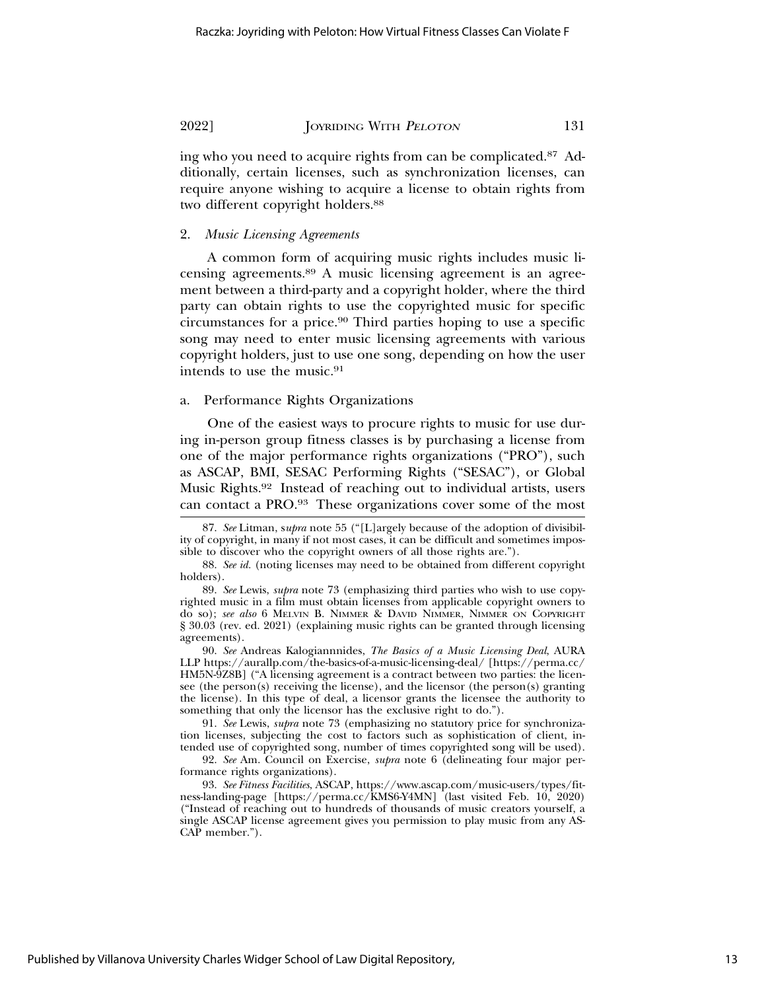ing who you need to acquire rights from can be complicated.87 Additionally, certain licenses, such as synchronization licenses, can require anyone wishing to acquire a license to obtain rights from two different copyright holders.<sup>88</sup>

# 2. *Music Licensing Agreements*

A common form of acquiring music rights includes music licensing agreements.89 A music licensing agreement is an agreement between a third-party and a copyright holder, where the third party can obtain rights to use the copyrighted music for specific circumstances for a price.90 Third parties hoping to use a specific song may need to enter music licensing agreements with various copyright holders, just to use one song, depending on how the user intends to use the music.91

# a. Performance Rights Organizations

One of the easiest ways to procure rights to music for use during in-person group fitness classes is by purchasing a license from one of the major performance rights organizations ("PRO"), such as ASCAP, BMI, SESAC Performing Rights ("SESAC"), or Global Music Rights.92 Instead of reaching out to individual artists, users can contact a PRO.93 These organizations cover some of the most

90. *See* Andreas Kalogiannnides, *The Basics of a Music Licensing Deal*, AURA LLP https://aurallp.com/the-basics-of-a-music-licensing-deal/ [https://perma.cc/ HM5N-9Z8B] ("A licensing agreement is a contract between two parties: the licensee (the person(s) receiving the license), and the licensor (the person(s) granting the license). In this type of deal, a licensor grants the licensee the authority to something that only the licensor has the exclusive right to do.").

91. *See* Lewis, *supra* note 73 (emphasizing no statutory price for synchronization licenses, subjecting the cost to factors such as sophistication of client, intended use of copyrighted song, number of times copyrighted song will be used).

92. *See* Am. Council on Exercise, *supra* note 6 (delineating four major performance rights organizations).

93. *See Fitness Facilities*, ASCAP, https://www.ascap.com/music-users/types/fitness-landing-page [https://perma.cc/KMS6-Y4MN] (last visited Feb. 10, 2020) ("Instead of reaching out to hundreds of thousands of music creators yourself, a single ASCAP license agreement gives you permission to play music from any AS-CAP member.").

<sup>87.</sup> *See* Litman, s*upra* note 55 ("[L]argely because of the adoption of divisibility of copyright, in many if not most cases, it can be difficult and sometimes impossible to discover who the copyright owners of all those rights are.").

<sup>88.</sup> *See id.* (noting licenses may need to be obtained from different copyright holders).

<sup>89.</sup> *See* Lewis, *supra* note 73 (emphasizing third parties who wish to use copyrighted music in a film must obtain licenses from applicable copyright owners to do so); *see also* 6 MELVIN B. NIMMER & DAVID NIMMER, NIMMER ON COPYRIGHT § 30.03 (rev. ed. 2021) (explaining music rights can be granted through licensing agreements).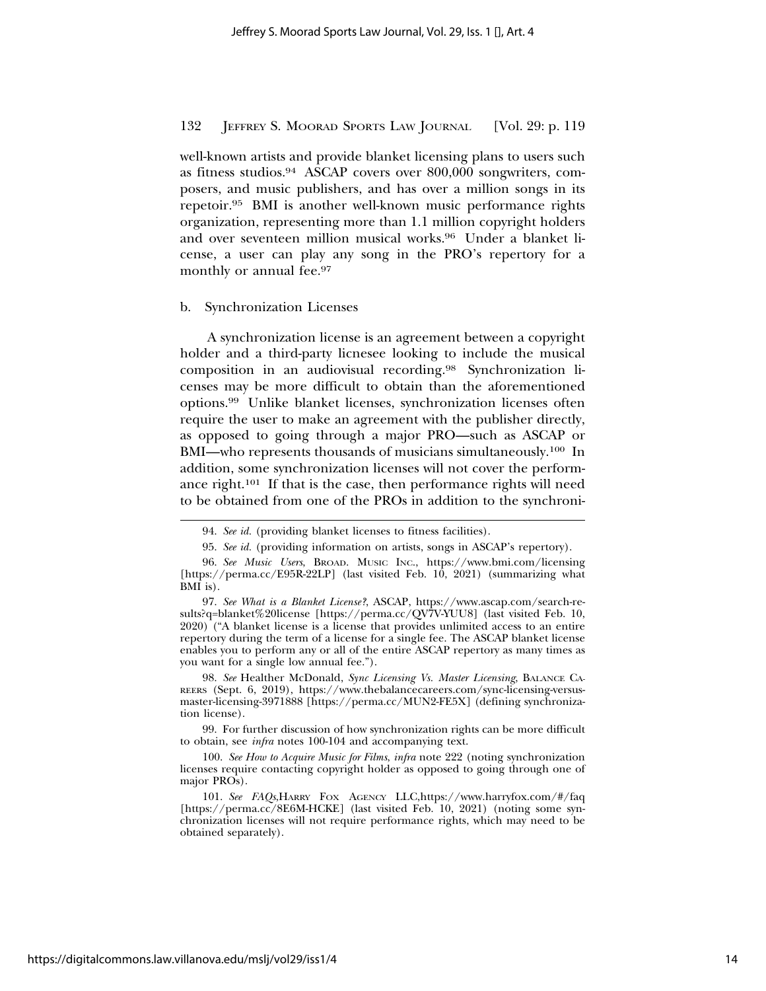well-known artists and provide blanket licensing plans to users such as fitness studios.94 ASCAP covers over 800,000 songwriters, composers, and music publishers, and has over a million songs in its repetoir.95 BMI is another well-known music performance rights organization, representing more than 1.1 million copyright holders and over seventeen million musical works.96 Under a blanket license, a user can play any song in the PRO's repertory for a monthly or annual fee.<sup>97</sup>

#### b. Synchronization Licenses

A synchronization license is an agreement between a copyright holder and a third-party licnesee looking to include the musical composition in an audiovisual recording.98 Synchronization licenses may be more difficult to obtain than the aforementioned options.99 Unlike blanket licenses, synchronization licenses often require the user to make an agreement with the publisher directly, as opposed to going through a major PRO—such as ASCAP or BMI—who represents thousands of musicians simultaneously.100 In addition, some synchronization licenses will not cover the performance right.101 If that is the case, then performance rights will need to be obtained from one of the PROs in addition to the synchroni-

98. *See* Healther McDonald, *Sync Licensing Vs. Master Licensing*, BALANCE CA-REERS (Sept. 6, 2019), https://www.thebalancecareers.com/sync-licensing-versusmaster-licensing-3971888 [https://perma.cc/MUN2-FE5X] (defining synchronization license).

99. For further discussion of how synchronization rights can be more difficult to obtain, see *infra* notes 100-104 and accompanying text.

<sup>94.</sup> *See id.* (providing blanket licenses to fitness facilities).

<sup>95.</sup> *See id.* (providing information on artists, songs in ASCAP's repertory).

<sup>96.</sup> *See Music Users*, BROAD. MUSIC INC., https://www.bmi.com/licensing [https://perma.cc/E95R-22LP] (last visited Feb. 10, 2021) (summarizing what BMI is).

<sup>97.</sup> *See What is a Blanket License?*, ASCAP, https://www.ascap.com/search-results?q=blanket%20license [https://perma.cc/QV7V-YUU8] (last visited Feb. 10, 2020) ("A blanket license is a license that provides unlimited access to an entire repertory during the term of a license for a single fee. The ASCAP blanket license enables you to perform any or all of the entire ASCAP repertory as many times as you want for a single low annual fee.").

<sup>100.</sup> *See How to Acquire Music for Films*, *infra* note 222 (noting synchronization licenses require contacting copyright holder as opposed to going through one of major PROs).

<sup>101.</sup> *See FAQs*,HARRY FOX AGENCY LLC,https://www.harryfox.com/#/faq [https://perma.cc/8E6M-HCKE] (last visited Feb. 10, 2021) (noting some synchronization licenses will not require performance rights, which may need to be obtained separately).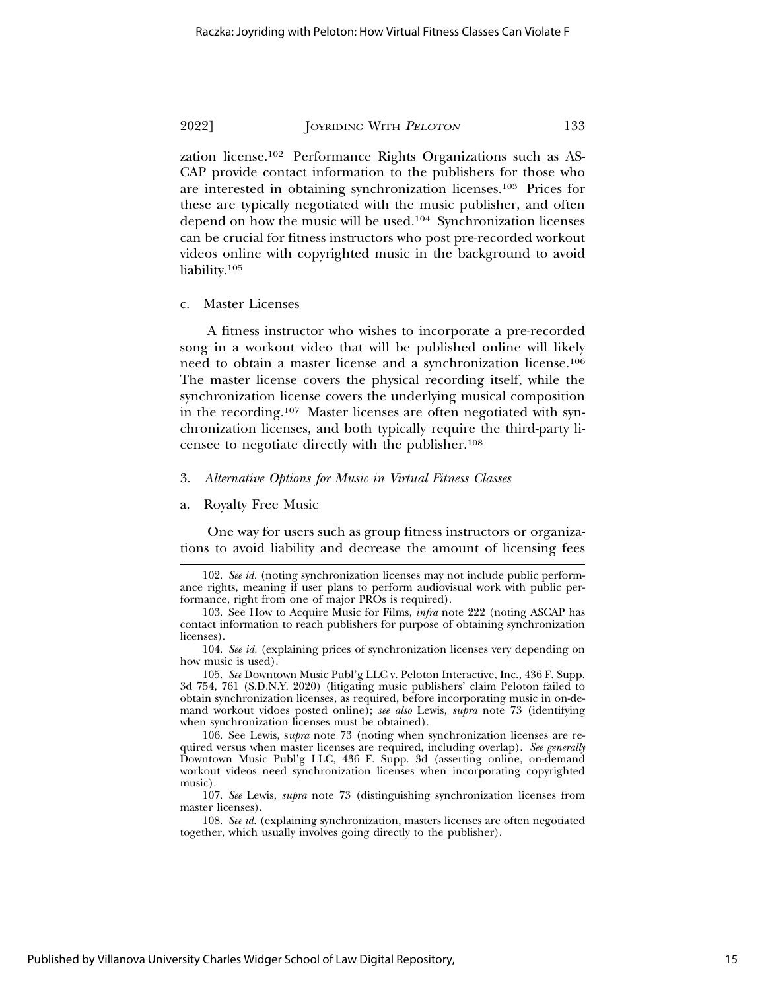videos online with copyrighted music in the background to avoid

zation license.102 Performance Rights Organizations such as AS-CAP provide contact information to the publishers for those who are interested in obtaining synchronization licenses.103 Prices for these are typically negotiated with the music publisher, and often depend on how the music will be used.104 Synchronization licenses can be crucial for fitness instructors who post pre-recorded workout

c. Master Licenses

liability.105

A fitness instructor who wishes to incorporate a pre-recorded song in a workout video that will be published online will likely need to obtain a master license and a synchronization license.106 The master license covers the physical recording itself, while the synchronization license covers the underlying musical composition in the recording.107 Master licenses are often negotiated with synchronization licenses, and both typically require the third-party licensee to negotiate directly with the publisher.108

#### 3. *Alternative Options for Music in Virtual Fitness Classes*

a. Royalty Free Music

One way for users such as group fitness instructors or organizations to avoid liability and decrease the amount of licensing fees

<sup>102.</sup> *See id.* (noting synchronization licenses may not include public performance rights, meaning if user plans to perform audiovisual work with public performance, right from one of major PROs is required).

<sup>103.</sup> See How to Acquire Music for Films, *infra* note 222 (noting ASCAP has contact information to reach publishers for purpose of obtaining synchronization licenses).

<sup>104.</sup> *See id.* (explaining prices of synchronization licenses very depending on how music is used).

<sup>105.</sup> *See* Downtown Music Publ'g LLC v. Peloton Interactive, Inc., 436 F. Supp. 3d 754, 761 (S.D.N.Y. 2020) (litigating music publishers' claim Peloton failed to obtain synchronization licenses, as required, before incorporating music in on-demand workout vidoes posted online); *see also* Lewis, *supra* note 73 (identifying when synchronization licenses must be obtained).

<sup>106.</sup> See Lewis, s*upra* note 73 (noting when synchronization licenses are required versus when master licenses are required, including overlap). *See generally* Downtown Music Publ'g LLC, 436 F. Supp. 3d (asserting online, on-demand workout videos need synchronization licenses when incorporating copyrighted music).

<sup>107.</sup> *See* Lewis, *supra* note 73 (distinguishing synchronization licenses from master licenses).

<sup>108.</sup> *See id.* (explaining synchronization, masters licenses are often negotiated together, which usually involves going directly to the publisher).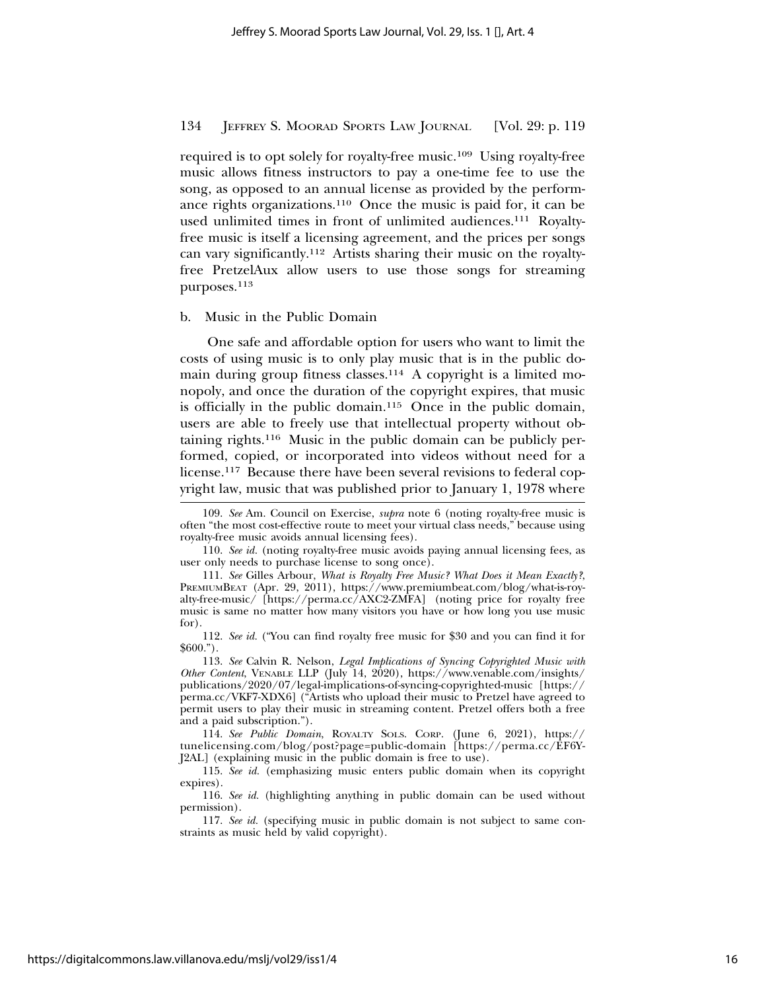required is to opt solely for royalty-free music.109 Using royalty-free music allows fitness instructors to pay a one-time fee to use the song, as opposed to an annual license as provided by the performance rights organizations.110 Once the music is paid for, it can be used unlimited times in front of unlimited audiences.<sup>111</sup> Royaltyfree music is itself a licensing agreement, and the prices per songs can vary significantly.112 Artists sharing their music on the royaltyfree PretzelAux allow users to use those songs for streaming purposes.113

#### b. Music in the Public Domain

One safe and affordable option for users who want to limit the costs of using music is to only play music that is in the public domain during group fitness classes.<sup>114</sup> A copyright is a limited monopoly, and once the duration of the copyright expires, that music is officially in the public domain.<sup>115</sup> Once in the public domain, users are able to freely use that intellectual property without obtaining rights.116 Music in the public domain can be publicly performed, copied, or incorporated into videos without need for a license.117 Because there have been several revisions to federal copyright law, music that was published prior to January 1, 1978 where

<sup>109.</sup> *See* Am. Council on Exercise, *supra* note 6 (noting royalty-free music is often "the most cost-effective route to meet your virtual class needs," because using royalty-free music avoids annual licensing fees).

<sup>110.</sup> *See id.* (noting royalty-free music avoids paying annual licensing fees, as user only needs to purchase license to song once).

<sup>111.</sup> *See* Gilles Arbour, *What is Royalty Free Music? What Does it Mean Exactly?*, PREMIUMBEAT (Apr. 29, 2011), https://www.premiumbeat.com/blog/what-is-royalty-free-music/ [https://perma.cc/AXC2-ZMFA] (noting price for royalty free music is same no matter how many visitors you have or how long you use music for).

<sup>112.</sup> *See id.* ("You can find royalty free music for \$30 and you can find it for \$600.").

<sup>113.</sup> *See* Calvin R. Nelson, *Legal Implications of Syncing Copyrighted Music with Other Content*, VENABLE LLP (July 14, 2020), https://www.venable.com/insights/ publications/2020/07/legal-implications-of-syncing-copyrighted-music [https:// perma.cc/VKF7-XDX6] ("Artists who upload their music to Pretzel have agreed to permit users to play their music in streaming content. Pretzel offers both a free and a paid subscription.").

<sup>114.</sup> *See Public Domain*, ROYALTY SOLS. CORP. (June 6, 2021), https:// tunelicensing.com/blog/post?page=public-domain [https://perma.cc/EF6Y-J2AL] (explaining music in the public domain is free to use).

<sup>115.</sup> *See id.* (emphasizing music enters public domain when its copyright expires).

<sup>116.</sup> *See id.* (highlighting anything in public domain can be used without permission).

<sup>117.</sup> *See id.* (specifying music in public domain is not subject to same constraints as music held by valid copyright).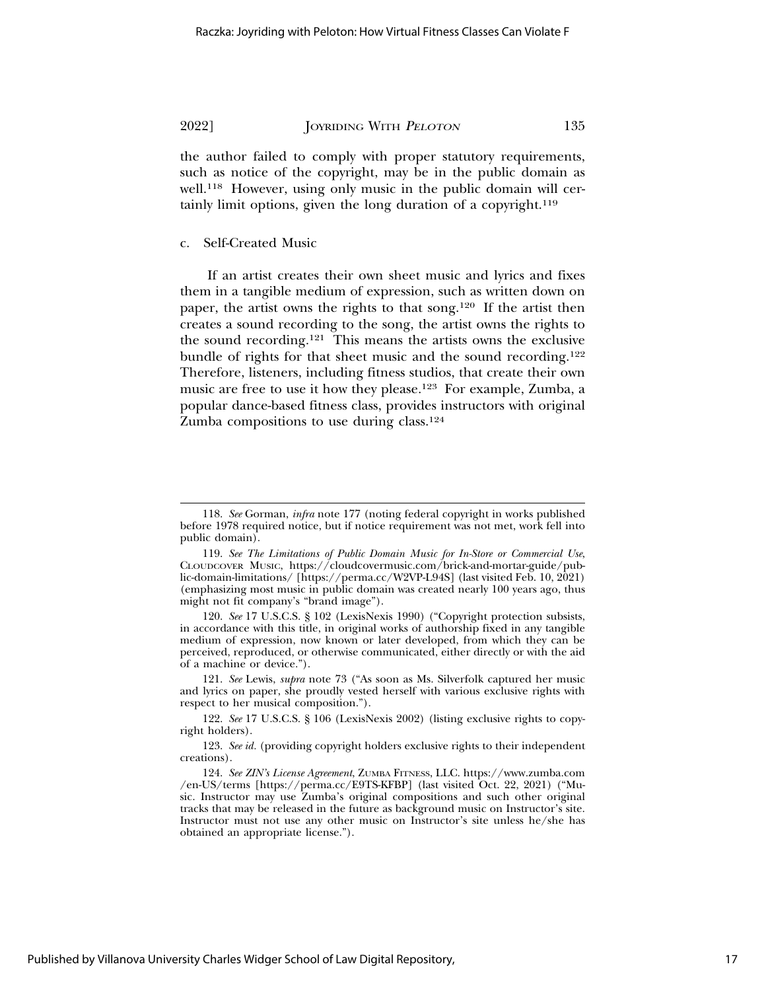the author failed to comply with proper statutory requirements, such as notice of the copyright, may be in the public domain as well.<sup>118</sup> However, using only music in the public domain will certainly limit options, given the long duration of a copyright.119

#### c. Self-Created Music

If an artist creates their own sheet music and lyrics and fixes them in a tangible medium of expression, such as written down on paper, the artist owns the rights to that song.120 If the artist then creates a sound recording to the song, the artist owns the rights to the sound recording.121 This means the artists owns the exclusive bundle of rights for that sheet music and the sound recording.122 Therefore, listeners, including fitness studios, that create their own music are free to use it how they please.123 For example, Zumba, a popular dance-based fitness class, provides instructors with original Zumba compositions to use during class.<sup>124</sup>

121. *See* Lewis, *supra* note 73 ("As soon as Ms. Silverfolk captured her music and lyrics on paper, she proudly vested herself with various exclusive rights with respect to her musical composition.").

<sup>118.</sup> *See* Gorman, *infra* note 177 (noting federal copyright in works published before 1978 required notice, but if notice requirement was not met, work fell into public domain).

<sup>119.</sup> *See The Limitations of Public Domain Music for In-Store or Commercial Use*, CLOUDCOVER MUSIC, https://cloudcovermusic.com/brick-and-mortar-guide/public-domain-limitations/ [https://perma.cc/W2VP-L94S] (last visited Feb. 10, 2021) (emphasizing most music in public domain was created nearly 100 years ago, thus might not fit company's "brand image").

<sup>120.</sup> *See* 17 U.S.C.S. § 102 (LexisNexis 1990) ("Copyright protection subsists, in accordance with this title, in original works of authorship fixed in any tangible medium of expression, now known or later developed, from which they can be perceived, reproduced, or otherwise communicated, either directly or with the aid of a machine or device.").

<sup>122.</sup> *See* 17 U.S.C.S. § 106 (LexisNexis 2002) (listing exclusive rights to copyright holders).

<sup>123.</sup> *See id.* (providing copyright holders exclusive rights to their independent creations).

<sup>124.</sup> *See ZIN's License Agreement*, ZUMBA FITNESS, LLC. https://www.zumba.com /en-US/terms [https://perma.cc/E9TS-KFBP] (last visited Oct. 22, 2021) ("Music. Instructor may use Zumba's original compositions and such other original tracks that may be released in the future as background music on Instructor's site. Instructor must not use any other music on Instructor's site unless he/she has obtained an appropriate license.").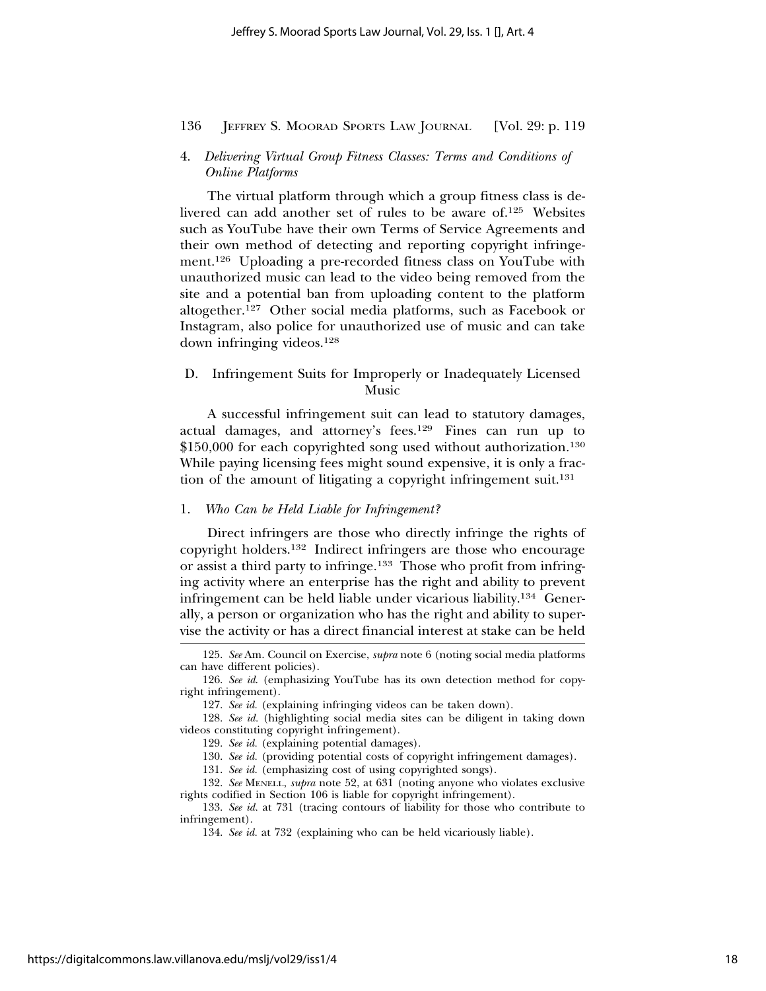# 4. *Delivering Virtual Group Fitness Classes: Terms and Conditions of Online Platforms*

The virtual platform through which a group fitness class is delivered can add another set of rules to be aware of.125 Websites such as YouTube have their own Terms of Service Agreements and their own method of detecting and reporting copyright infringement.126 Uploading a pre-recorded fitness class on YouTube with unauthorized music can lead to the video being removed from the site and a potential ban from uploading content to the platform altogether.127 Other social media platforms, such as Facebook or Instagram, also police for unauthorized use of music and can take down infringing videos.128

# D. Infringement Suits for Improperly or Inadequately Licensed Music

A successful infringement suit can lead to statutory damages, actual damages, and attorney's fees.129 Fines can run up to \$150,000 for each copyrighted song used without authorization.<sup>130</sup> While paying licensing fees might sound expensive, it is only a fraction of the amount of litigating a copyright infringement suit.<sup>131</sup>

# 1. *Who Can be Held Liable for Infringement?*

Direct infringers are those who directly infringe the rights of copyright holders.132 Indirect infringers are those who encourage or assist a third party to infringe.133 Those who profit from infringing activity where an enterprise has the right and ability to prevent infringement can be held liable under vicarious liability.134 Generally, a person or organization who has the right and ability to supervise the activity or has a direct financial interest at stake can be held

128. *See id.* (highlighting social media sites can be diligent in taking down videos constituting copyright infringement).

129. *See id.* (explaining potential damages).

130. *See id.* (providing potential costs of copyright infringement damages).

131. *See id.* (emphasizing cost of using copyrighted songs).

132. *See* MENELL, *supra* note 52, at 631 (noting anyone who violates exclusive rights codified in Section 106 is liable for copyright infringement).

133. *See id.* at 731 (tracing contours of liability for those who contribute to infringement).

134. *See id.* at 732 (explaining who can be held vicariously liable).

<sup>125.</sup> *See* Am. Council on Exercise, *supra* note 6 (noting social media platforms can have different policies).

<sup>126.</sup> *See id*. (emphasizing YouTube has its own detection method for copyright infringement).

<sup>127.</sup> *See id.* (explaining infringing videos can be taken down).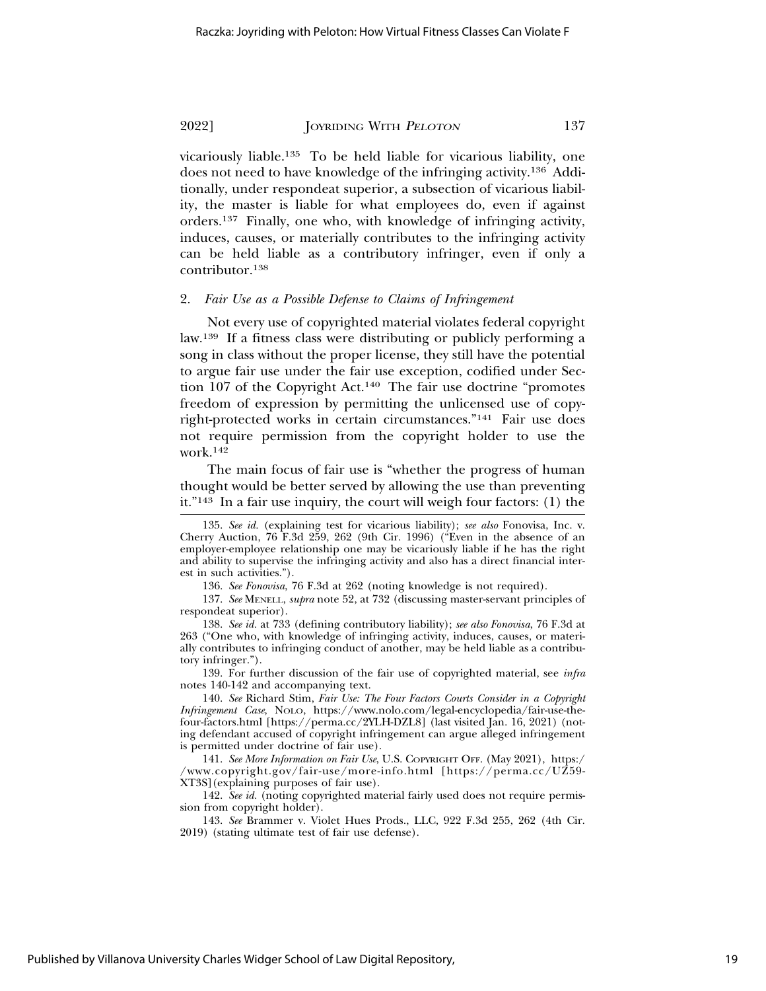vicariously liable.135 To be held liable for vicarious liability, one does not need to have knowledge of the infringing activity.136 Additionally, under respondeat superior, a subsection of vicarious liability, the master is liable for what employees do, even if against orders.137 Finally, one who, with knowledge of infringing activity, induces, causes, or materially contributes to the infringing activity can be held liable as a contributory infringer, even if only a contributor.138

#### 2. *Fair Use as a Possible Defense to Claims of Infringement*

Not every use of copyrighted material violates federal copyright law.139 If a fitness class were distributing or publicly performing a song in class without the proper license, they still have the potential to argue fair use under the fair use exception, codified under Section 107 of the Copyright Act.140 The fair use doctrine "promotes freedom of expression by permitting the unlicensed use of copyright-protected works in certain circumstances."141 Fair use does not require permission from the copyright holder to use the work.142

The main focus of fair use is "whether the progress of human thought would be better served by allowing the use than preventing it."143 In a fair use inquiry, the court will weigh four factors: (1) the

136. *See Fonovisa*, 76 F.3d at 262 (noting knowledge is not required).

137. *See* MENELL, *supra* note 52, at 732 (discussing master-servant principles of respondeat superior).

138. *See id.* at 733 (defining contributory liability); *see also Fonovisa*, 76 F.3d at 263 ("One who, with knowledge of infringing activity, induces, causes, or materially contributes to infringing conduct of another, may be held liable as a contributory infringer.").

139. For further discussion of the fair use of copyrighted material, see *infra* notes 140-142 and accompanying text.

140. *See* Richard Stim, *Fair Use: The Four Factors Courts Consider in a Copyright Infringement Case*, NOLO, https://www.nolo.com/legal-encyclopedia/fair-use-thefour-factors.html [https://perma.cc/2YLH-DZL8] (last visited Jan. 16, 2021) (noting defendant accused of copyright infringement can argue alleged infringement is permitted under doctrine of fair use).

141. *See More Information on Fair Use*, U.S. COPYRIGHT OFF. (May 2021), https:/ /www.copyright.gov/fair-use/more-info.html [https://perma.cc/UZ59- XT3S](explaining purposes of fair use).

142. *See id.* (noting copyrighted material fairly used does not require permission from copyright holder).

143. *See* Brammer v. Violet Hues Prods., LLC, 922 F.3d 255, 262 (4th Cir. 2019) (stating ultimate test of fair use defense).

<sup>135.</sup> *See id.* (explaining test for vicarious liability); *see also* Fonovisa, Inc. v. Cherry Auction, 76 F.3d 259, 262 (9th Cir. 1996) ("Even in the absence of an employer-employee relationship one may be vicariously liable if he has the right and ability to supervise the infringing activity and also has a direct financial interest in such activities.").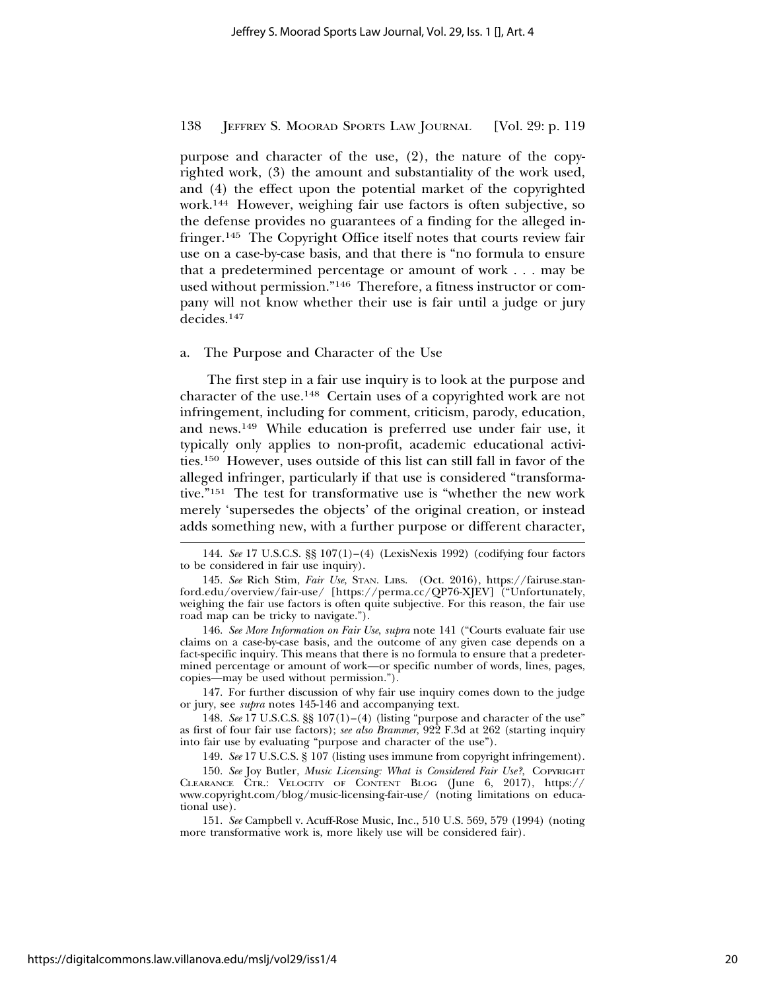purpose and character of the use, (2), the nature of the copyrighted work, (3) the amount and substantiality of the work used, and (4) the effect upon the potential market of the copyrighted work.144 However, weighing fair use factors is often subjective, so the defense provides no guarantees of a finding for the alleged infringer.145 The Copyright Office itself notes that courts review fair use on a case-by-case basis, and that there is "no formula to ensure that a predetermined percentage or amount of work . . . may be used without permission."146 Therefore, a fitness instructor or company will not know whether their use is fair until a judge or jury decides.147

#### a. The Purpose and Character of the Use

The first step in a fair use inquiry is to look at the purpose and character of the use.148 Certain uses of a copyrighted work are not infringement, including for comment, criticism, parody, education, and news.149 While education is preferred use under fair use, it typically only applies to non-profit, academic educational activities.150 However, uses outside of this list can still fall in favor of the alleged infringer, particularly if that use is considered "transformative."151 The test for transformative use is "whether the new work merely 'supersedes the objects' of the original creation, or instead adds something new, with a further purpose or different character,

146. *See More Information on Fair Use*, *supra* note 141 ("Courts evaluate fair use claims on a case-by-case basis, and the outcome of any given case depends on a fact-specific inquiry. This means that there is no formula to ensure that a predetermined percentage or amount of work—or specific number of words, lines, pages, copies—may be used without permission.").

147. For further discussion of why fair use inquiry comes down to the judge or jury, see *supra* notes 145-146 and accompanying text.

148. *See* 17 U.S.C.S. §§ 107(1)–(4) (listing "purpose and character of the use" as first of four fair use factors); *see also Brammer*, 922 F.3d at 262 (starting inquiry into fair use by evaluating "purpose and character of the use").

149. *See* 17 U.S.C.S. § 107 (listing uses immune from copyright infringement).

150. *See* Joy Butler, *Music Licensing: What is Considered Fair Use?*, COPYRIGHT CLEARANCE CTR.: VELOCITY OF CONTENT BLOG (June 6, 2017), https:// www.copyright.com/blog/music-licensing-fair-use/ (noting limitations on educational use).

151. *See* Campbell v. Acuff-Rose Music, Inc*.*, 510 U.S. 569, 579 (1994) (noting more transformative work is, more likely use will be considered fair).

<sup>144.</sup> *See* 17 U.S.C.S. §§ 107(1)–(4) (LexisNexis 1992) (codifying four factors to be considered in fair use inquiry).

<sup>145.</sup> *See* Rich Stim, *Fair Use*, STAN. LIBS. (Oct. 2016), https://fairuse.stanford.edu/overview/fair-use/ [https://perma.cc/QP76-XJEV] ("Unfortunately, weighing the fair use factors is often quite subjective. For this reason, the fair use road map can be tricky to navigate.").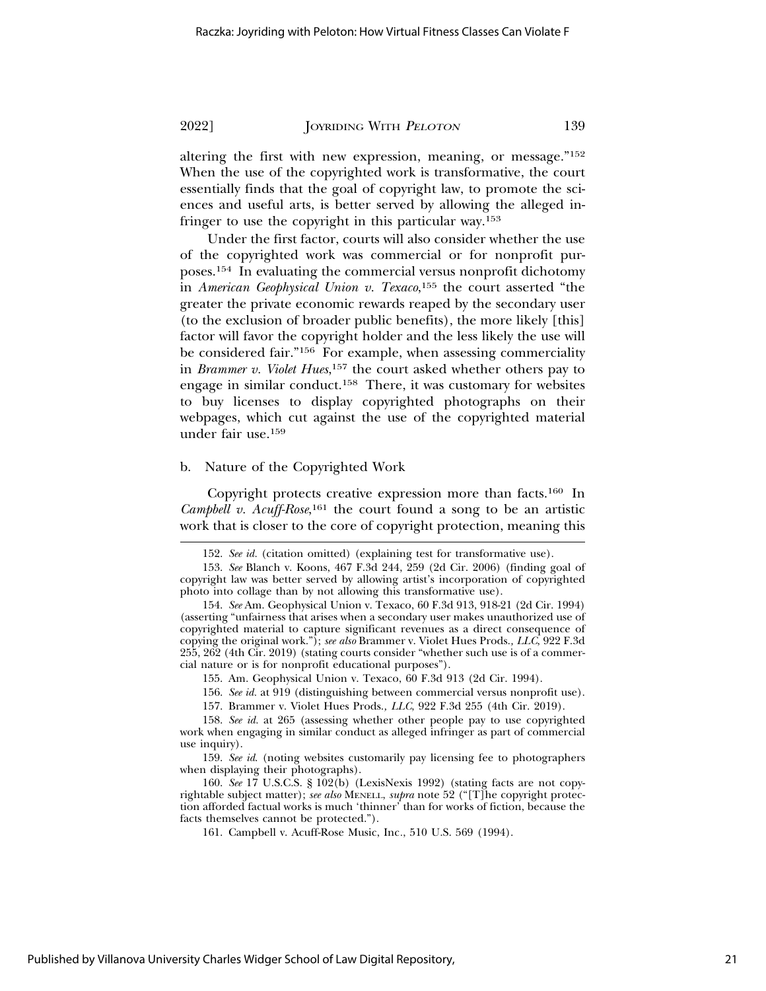altering the first with new expression, meaning, or message."152 When the use of the copyrighted work is transformative, the court essentially finds that the goal of copyright law, to promote the sciences and useful arts, is better served by allowing the alleged infringer to use the copyright in this particular way.153

Under the first factor, courts will also consider whether the use of the copyrighted work was commercial or for nonprofit purposes.154 In evaluating the commercial versus nonprofit dichotomy in *American Geophysical Union v. Texaco*, 155 the court asserted "the greater the private economic rewards reaped by the secondary user (to the exclusion of broader public benefits), the more likely [this] factor will favor the copyright holder and the less likely the use will be considered fair."156 For example, when assessing commerciality in *Brammer v. Violet Hues*, 157 the court asked whether others pay to engage in similar conduct.158 There, it was customary for websites to buy licenses to display copyrighted photographs on their webpages, which cut against the use of the copyrighted material under fair use.159

# b. Nature of the Copyrighted Work

Copyright protects creative expression more than facts.160 In Campbell v. Acuff-Rose,<sup>161</sup> the court found a song to be an artistic work that is closer to the core of copyright protection, meaning this

<sup>152.</sup> *See id.* (citation omitted) (explaining test for transformative use).

<sup>153.</sup> *See* Blanch v. Koons, 467 F.3d 244, 259 (2d Cir. 2006) (finding goal of copyright law was better served by allowing artist's incorporation of copyrighted photo into collage than by not allowing this transformative use).

<sup>154.</sup> *See* Am. Geophysical Union v. Texaco, 60 F.3d 913, 918-21 (2d Cir. 1994) (asserting "unfairness that arises when a secondary user makes unauthorized use of copyrighted material to capture significant revenues as a direct consequence of copying the original work."); *see also* Brammer v. Violet Hues Prods.*, LLC*, 922 F.3d 255, 262 (4th Cir. 2019) (stating courts consider "whether such use is of a commercial nature or is for nonprofit educational purposes").

<sup>155.</sup> Am. Geophysical Union v. Texaco, 60 F.3d 913 (2d Cir. 1994).

<sup>156.</sup> *See id.* at 919 (distinguishing between commercial versus nonprofit use).

<sup>157.</sup> Brammer v. Violet Hues Prods.*, LLC*, 922 F.3d 255 (4th Cir. 2019).

<sup>158.</sup> *See id.* at 265 (assessing whether other people pay to use copyrighted work when engaging in similar conduct as alleged infringer as part of commercial use inquiry).

<sup>159.</sup> *See id*. (noting websites customarily pay licensing fee to photographers when displaying their photographs).

<sup>160.</sup> *See* 17 U.S.C.S. § 102(b) (LexisNexis 1992) (stating facts are not copyrightable subject matter); *see also* MENELL, *supra* note 52 ("[T]he copyright protection afforded factual works is much 'thinner' than for works of fiction, because the facts themselves cannot be protected.").

<sup>161.</sup> Campbell v. Acuff-Rose Music, Inc*.*, 510 U.S. 569 (1994).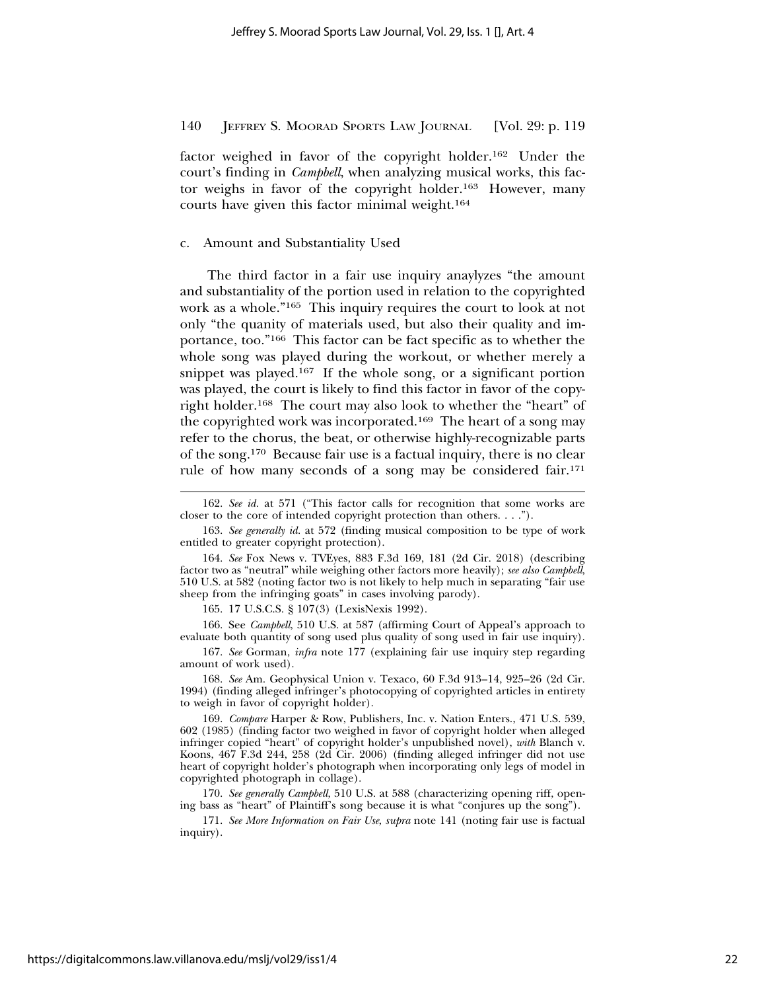factor weighed in favor of the copyright holder.162 Under the court's finding in *Campbell*, when analyzing musical works, this factor weighs in favor of the copyright holder.163 However, many courts have given this factor minimal weight.164

c. Amount and Substantiality Used

The third factor in a fair use inquiry anaylyzes "the amount and substantiality of the portion used in relation to the copyrighted work as a whole."165 This inquiry requires the court to look at not only "the quanity of materials used, but also their quality and importance, too."166 This factor can be fact specific as to whether the whole song was played during the workout, or whether merely a snippet was played.167 If the whole song, or a significant portion was played, the court is likely to find this factor in favor of the copyright holder.168 The court may also look to whether the "heart" of the copyrighted work was incorporated.169 The heart of a song may refer to the chorus, the beat, or otherwise highly-recognizable parts of the song.170 Because fair use is a factual inquiry, there is no clear rule of how many seconds of a song may be considered fair.171

165. 17 U.S.C.S. § 107(3) (LexisNexis 1992).

166. See *Campbell*, 510 U.S. at 587 (affirming Court of Appeal's approach to evaluate both quantity of song used plus quality of song used in fair use inquiry).

167. *See* Gorman, *infra* note 177 (explaining fair use inquiry step regarding amount of work used).

168. *See* Am. Geophysical Union v. Texaco, 60 F.3d 913–14, 925–26 (2d Cir. 1994) (finding alleged infringer's photocopying of copyrighted articles in entirety to weigh in favor of copyright holder).

169. *Compare* Harper & Row, Publishers, Inc. v. Nation Enters., 471 U.S. 539, 602 (1985) (finding factor two weighed in favor of copyright holder when alleged infringer copied "heart" of copyright holder's unpublished novel), *with* Blanch v. Koons, 467 F.3d 244, 258 (2d Cir. 2006) (finding alleged infringer did not use heart of copyright holder's photograph when incorporating only legs of model in copyrighted photograph in collage).

170. *See generally Campbell*, 510 U.S. at 588 (characterizing opening riff, opening bass as "heart" of Plaintiff's song because it is what "conjures up the song").

171. *See More Information on Fair Use*, *supra* note 141 (noting fair use is factual inquiry).

<sup>162.</sup> *See id.* at 571 ("This factor calls for recognition that some works are closer to the core of intended copyright protection than others. . . .").

<sup>163.</sup> *See generally id.* at 572 (finding musical composition to be type of work entitled to greater copyright protection).

<sup>164.</sup> *See* Fox News v. TVEyes, 883 F.3d 169, 181 (2d Cir. 2018) (describing factor two as "neutral" while weighing other factors more heavily); *see also Campbell*, 510 U.S. at 582 (noting factor two is not likely to help much in separating "fair use sheep from the infringing goats" in cases involving parody).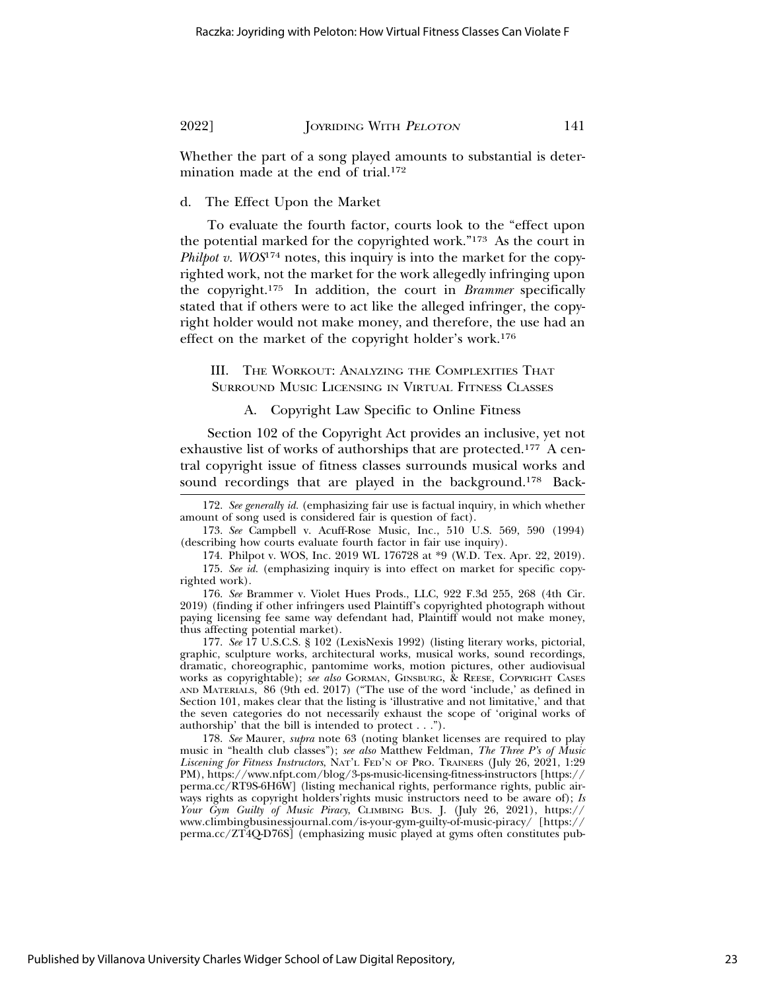Whether the part of a song played amounts to substantial is determination made at the end of trial.172

d. The Effect Upon the Market

To evaluate the fourth factor, courts look to the "effect upon the potential marked for the copyrighted work."173 As the court in *Philpot v. WOS*<sup>174</sup> notes, this inquiry is into the market for the copyrighted work, not the market for the work allegedly infringing upon the copyright.175 In addition, the court in *Brammer* specifically stated that if others were to act like the alleged infringer, the copyright holder would not make money, and therefore, the use had an effect on the market of the copyright holder's work.176

III. THE WORKOUT: ANALYZING THE COMPLEXITIES THAT SURROUND MUSIC LICENSING IN VIRTUAL FITNESS CLASSES

A. Copyright Law Specific to Online Fitness

Section 102 of the Copyright Act provides an inclusive, yet not exhaustive list of works of authorships that are protected.<sup>177</sup> A central copyright issue of fitness classes surrounds musical works and sound recordings that are played in the background.<sup>178</sup> Back-

172. *See generally id.* (emphasizing fair use is factual inquiry, in which whether amount of song used is considered fair is question of fact).

173. *See* Campbell v. Acuff-Rose Music, Inc*.*, 510 U.S. 569, 590 (1994) (describing how courts evaluate fourth factor in fair use inquiry).

174. Philpot v. WOS, Inc. 2019 WL 176728 at \*9 (W.D. Tex. Apr. 22, 2019).

175. *See id.* (emphasizing inquiry is into effect on market for specific copyrighted work).

176. *See* Brammer v. Violet Hues Prods., LLC, 922 F.3d 255, 268 (4th Cir. 2019) (finding if other infringers used Plaintiff's copyrighted photograph without paying licensing fee same way defendant had, Plaintiff would not make money, thus affecting potential market).

177. *See* 17 U.S.C.S. § 102 (LexisNexis 1992) (listing literary works, pictorial, graphic, sculpture works, architectural works, musical works, sound recordings, dramatic, choreographic, pantomime works, motion pictures, other audiovisual works as copyrightable); *see also* GORMAN, GINSBURG, & REESE, COPYRIGHT CASES AND MATERIALS, 86 (9th ed. 2017) ("The use of the word 'include,' as defined in Section 101, makes clear that the listing is 'illustrative and not limitative,' and that the seven categories do not necessarily exhaust the scope of 'original works of authorship' that the bill is intended to protect . . .").

178. *See* Maurer, *supra* note 63 (noting blanket licenses are required to play music in "health club classes"); *see also* Matthew Feldman, *The Three P's of Music Liscening for Fitness Instructors*, NAT'L FED'N OF PRO. TRAINERS (July 26, 2021, 1:29 PM), https://www.nfpt.com/blog/3-ps-music-licensing-fitness-instructors [https:// perma.cc/RT9S-6H6W] (listing mechanical rights, performance rights, public airways rights as copyright holders'rights music instructors need to be aware of); *Is Your Gym Guilty of Music Piracy*, CLIMBING BUS. J. (July 26, 2021), https:// www.climbingbusinessjournal.com/is-your-gym-guilty-of-music-piracy/ [https:// perma.cc/ZT4Q-D76S] (emphasizing music played at gyms often constitutes pub-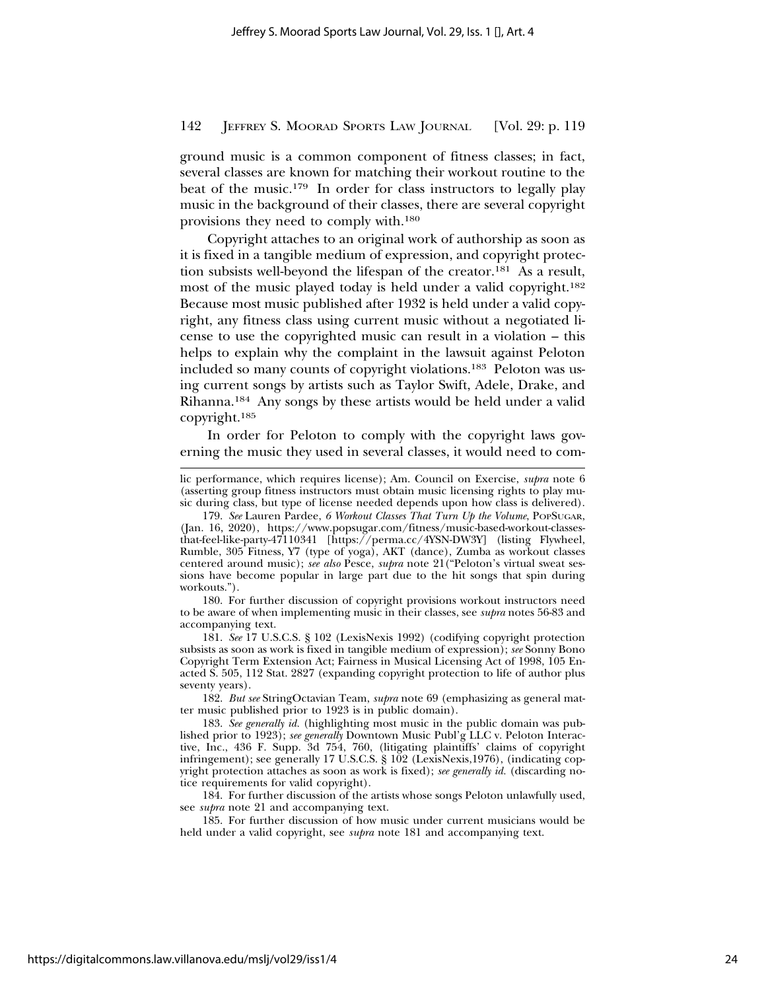ground music is a common component of fitness classes; in fact, several classes are known for matching their workout routine to the beat of the music.179 In order for class instructors to legally play music in the background of their classes, there are several copyright provisions they need to comply with.180

Copyright attaches to an original work of authorship as soon as it is fixed in a tangible medium of expression, and copyright protection subsists well-beyond the lifespan of the creator.181 As a result, most of the music played today is held under a valid copyright.182 Because most music published after 1932 is held under a valid copyright, any fitness class using current music without a negotiated license to use the copyrighted music can result in a violation – this helps to explain why the complaint in the lawsuit against Peloton included so many counts of copyright violations.183 Peloton was using current songs by artists such as Taylor Swift, Adele, Drake, and Rihanna.184 Any songs by these artists would be held under a valid copyright.185

In order for Peloton to comply with the copyright laws governing the music they used in several classes, it would need to com-

180. For further discussion of copyright provisions workout instructors need to be aware of when implementing music in their classes, see *supra* notes 56-83 and accompanying text.

181. *See* 17 U.S.C.S. § 102 (LexisNexis 1992) (codifying copyright protection subsists as soon as work is fixed in tangible medium of expression); *see* Sonny Bono Copyright Term Extension Act; Fairness in Musical Licensing Act of 1998, 105 Enacted S. 505, 112 Stat. 2827 (expanding copyright protection to life of author plus seventy years).

182. *But see* StringOctavian Team, *supra* note 69 (emphasizing as general matter music published prior to 1923 is in public domain).

183. *See generally id.* (highlighting most music in the public domain was published prior to 1923); *see generally* Downtown Music Publ'g LLC v. Peloton Interactive, Inc., 436 F. Supp. 3d 754, 760, (litigating plaintiffs' claims of copyright infringement); see generally 17 U.S.C.S. § 102 (LexisNexis,1976), (indicating copyright protection attaches as soon as work is fixed); *see generally id.* (discarding notice requirements for valid copyright).

184. For further discussion of the artists whose songs Peloton unlawfully used, see *supra* note 21 and accompanying text.

185. For further discussion of how music under current musicians would be held under a valid copyright, see *supra* note 181 and accompanying text.

lic performance, which requires license); Am. Council on Exercise, *supra* note 6 (asserting group fitness instructors must obtain music licensing rights to play music during class, but type of license needed depends upon how class is delivered).

<sup>179.</sup> *See* Lauren Pardee, *6 Workout Classes That Turn Up the Volume*, POPSUGAR, (Jan. 16, 2020), https://www.popsugar.com/fitness/music-based-workout-classesthat-feel-like-party-47110341 [https://perma.cc/4YSN-DW3Y] (listing Flywheel, Rumble, 305 Fitness, Y7 (type of yoga), AKT (dance), Zumba as workout classes centered around music); *see also* Pesce, *supra* note 21("Peloton's virtual sweat sessions have become popular in large part due to the hit songs that spin during workouts.").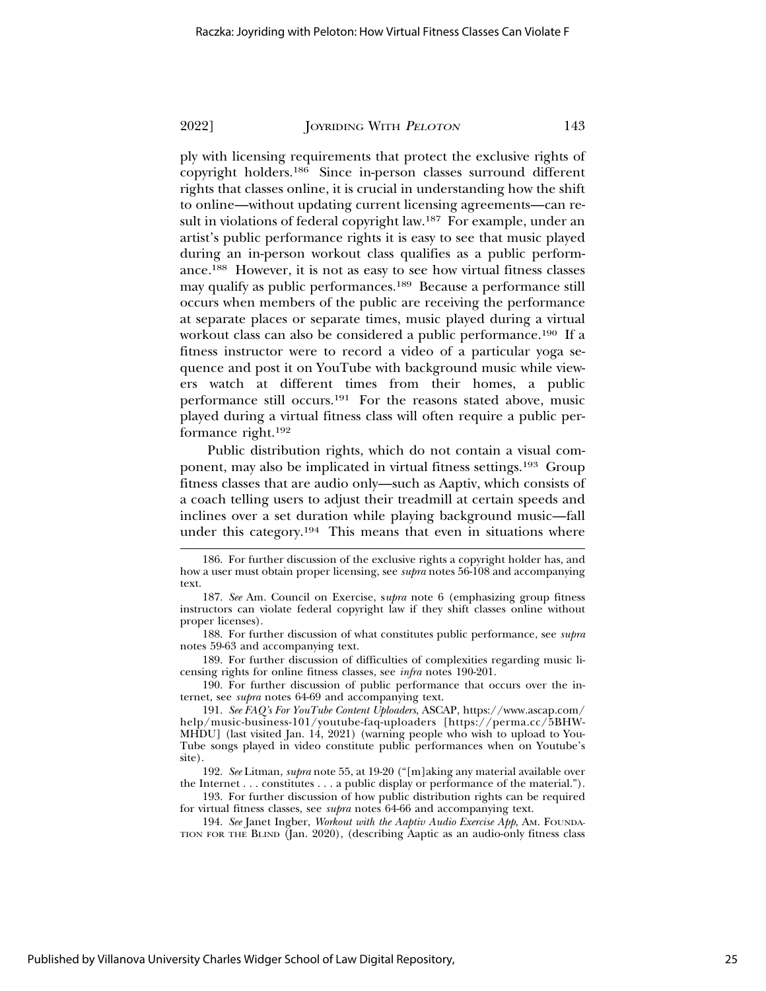ply with licensing requirements that protect the exclusive rights of copyright holders.186 Since in-person classes surround different rights that classes online, it is crucial in understanding how the shift to online—without updating current licensing agreements—can result in violations of federal copyright law.187 For example, under an artist's public performance rights it is easy to see that music played during an in-person workout class qualifies as a public performance.188 However, it is not as easy to see how virtual fitness classes may qualify as public performances.189 Because a performance still occurs when members of the public are receiving the performance at separate places or separate times, music played during a virtual workout class can also be considered a public performance.190 If a fitness instructor were to record a video of a particular yoga sequence and post it on YouTube with background music while viewers watch at different times from their homes, a public performance still occurs.191 For the reasons stated above, music played during a virtual fitness class will often require a public performance right.192

Public distribution rights, which do not contain a visual component, may also be implicated in virtual fitness settings.193 Group fitness classes that are audio only—such as Aaptiv, which consists of a coach telling users to adjust their treadmill at certain speeds and inclines over a set duration while playing background music—fall under this category.194 This means that even in situations where

189. For further discussion of difficulties of complexities regarding music licensing rights for online fitness classes, see *infra* notes 190-201.

190. For further discussion of public performance that occurs over the internet, see *supra* notes 64-69 and accompanying text.

192. *See* Litman, *supra* note 55, at 19-20 ("[m]aking any material available over the Internet . . . constitutes . . . a public display or performance of the material.").

193. For further discussion of how public distribution rights can be required for virtual fitness classes, see *supra* notes 64-66 and accompanying text.

194. *See* Janet Ingber, *Workout with the Aaptiv Audio Exercise App*, AM. FOUNDA-TION FOR THE BLIND (Jan. 2020), (describing Aaptic as an audio-only fitness class

<sup>186.</sup> For further discussion of the exclusive rights a copyright holder has, and how a user must obtain proper licensing, see *supra* notes 56-108 and accompanying text.

<sup>187.</sup> *See* Am. Council on Exercise, s*upra* note 6 (emphasizing group fitness instructors can violate federal copyright law if they shift classes online without proper licenses).

<sup>188.</sup> For further discussion of what constitutes public performance, see *supra* notes 59-63 and accompanying text.

<sup>191.</sup> *See FAQ's For YouTube Content Uploaders*, ASCAP, https://www.ascap.com/ help/music-business-101/youtube-faq-uploaders [https://perma.cc/5BHW-MHDU] (last visited Jan. 14, 2021) (warning people who wish to upload to You-Tube songs played in video constitute public performances when on Youtube's site).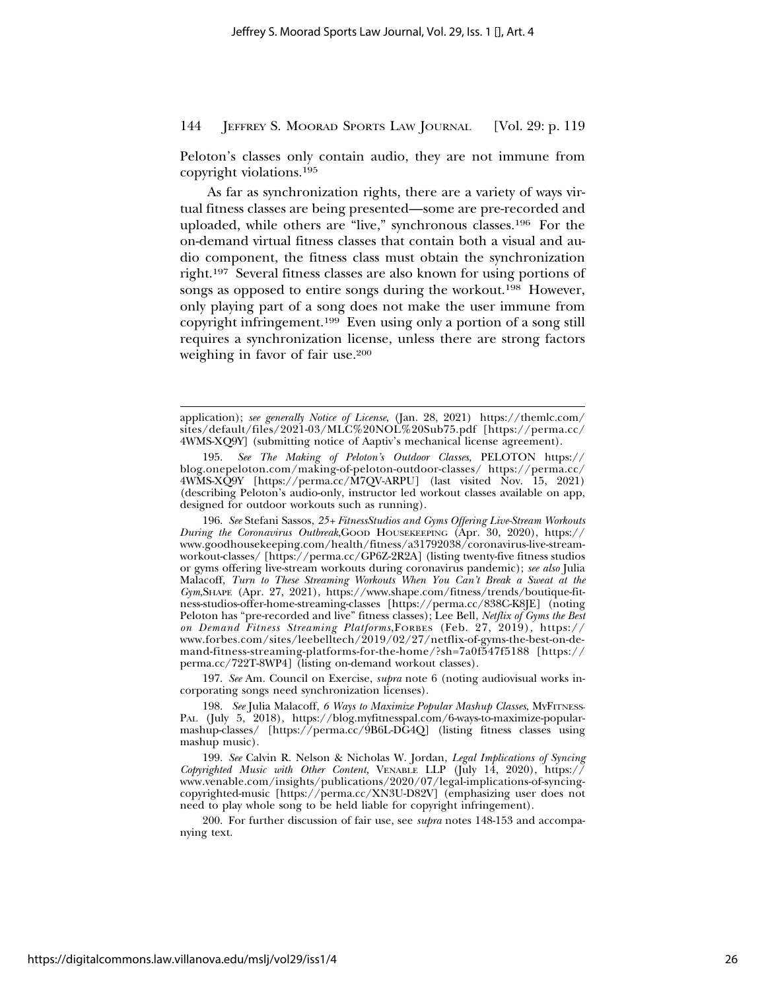Peloton's classes only contain audio, they are not immune from copyright violations.195

As far as synchronization rights, there are a variety of ways virtual fitness classes are being presented—some are pre-recorded and uploaded, while others are "live," synchronous classes.196 For the on-demand virtual fitness classes that contain both a visual and audio component, the fitness class must obtain the synchronization right.197 Several fitness classes are also known for using portions of songs as opposed to entire songs during the workout.<sup>198</sup> However, only playing part of a song does not make the user immune from copyright infringement.199 Even using only a portion of a song still requires a synchronization license, unless there are strong factors weighing in favor of fair use.200

196. *See* Stefani Sassos, *25+ FitnessStudios and Gyms Offering Live-Stream Workouts During the Coronavirus Outbreak*,GOOD HOUSEKEEPING (Apr. 30, 2020), https:// www.goodhousekeeping.com/health/fitness/a31792038/coronavirus-live-streamworkout-classes/ [https://perma.cc/GP6Z-2R2A] (listing twenty-five fitness studios or gyms offering live-stream workouts during coronavirus pandemic); *see also* Julia Malacoff, *Turn to These Streaming Workouts When You Can't Break a Sweat at the Gym*,SHAPE (Apr. 27, 2021), https://www.shape.com/fitness/trends/boutique-fitness-studios-offer-home-streaming-classes [https://perma.cc/838C-K8JE] (noting Peloton has "pre-recorded and live" fitness classes); Lee Bell, *Netflix of Gyms the Best on Demand Fitness Streaming Platforms*,FORBES (Feb. 27, 2019), https:// www.forbes.com/sites/leebelltech/2019/02/27/netflix-of-gyms-the-best-on-demand-fitness-streaming-platforms-for-the-home/?sh=7a0f547f5188 [https:// perma.cc/722T-8WP4] (listing on-demand workout classes).

197. *See* Am. Council on Exercise, *supra* note 6 (noting audiovisual works incorporating songs need synchronization licenses).

198. *See* Julia Malacoff, *6 Ways to Maximize Popular Mashup Classes*, MYFITNESS-PAL (July 5, 2018), https://blog.myfitnesspal.com/6-ways-to-maximize-popularmashup-classes/ [https://perma.cc/9B6L-DG4Q] (listing fitness classes using mashup music).

199. *See* Calvin R. Nelson & Nicholas W. Jordan, *Legal Implications of Syncing Copyrighted Music with Other Content*, VENABLE LLP (July 14, 2020), https:// www.venable.com/insights/publications/2020/07/legal-implications-of-syncingcopyrighted-music [https://perma.cc/XN3U-D82V] (emphasizing user does not need to play whole song to be held liable for copyright infringement).

200. For further discussion of fair use, see *supra* notes 148-153 and accompanying text.

application); *see generally Notice of License*, (Jan. 28, 2021) https://themlc.com/ sites/default/files/2021-03/MLC%20NOL%20Sub75.pdf [https://perma.cc/ 4WMS-XQ9Y] (submitting notice of Aaptiv's mechanical license agreement).

<sup>195.</sup> *See The Making of Peloton's Outdoor Classes,* PELOTON https:// blog.onepeloton.com/making-of-peloton-outdoor-classes/ https://perma.cc/ 4WMS-XQ9Y [https://perma.cc/M7QV-ARPU] (last visited Nov. 15, 2021) (describing Peloton's audio-only, instructor led workout classes available on app, designed for outdoor workouts such as running).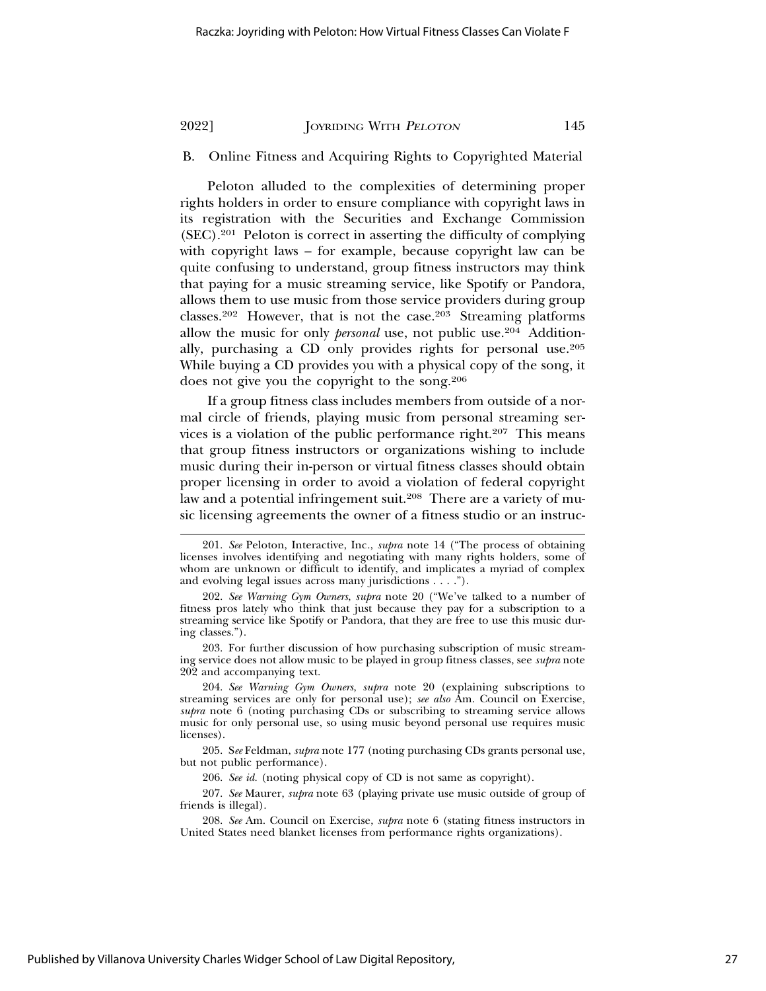# B. Online Fitness and Acquiring Rights to Copyrighted Material

Peloton alluded to the complexities of determining proper rights holders in order to ensure compliance with copyright laws in its registration with the Securities and Exchange Commission (SEC).201 Peloton is correct in asserting the difficulty of complying with copyright laws – for example, because copyright law can be quite confusing to understand, group fitness instructors may think that paying for a music streaming service, like Spotify or Pandora, allows them to use music from those service providers during group classes.202 However, that is not the case.203 Streaming platforms allow the music for only *personal* use, not public use.<sup>204</sup> Additionally, purchasing a CD only provides rights for personal use.205 While buying a CD provides you with a physical copy of the song, it does not give you the copyright to the song.206

If a group fitness class includes members from outside of a normal circle of friends, playing music from personal streaming services is a violation of the public performance right.207 This means that group fitness instructors or organizations wishing to include music during their in-person or virtual fitness classes should obtain proper licensing in order to avoid a violation of federal copyright law and a potential infringement suit.<sup>208</sup> There are a variety of music licensing agreements the owner of a fitness studio or an instruc-

203. For further discussion of how purchasing subscription of music streaming service does not allow music to be played in group fitness classes, see *supra* note 202 and accompanying text.

204. *See Warning Gym Owners*, *supra* note 20 (explaining subscriptions to streaming services are only for personal use); *see also* Am. Council on Exercise, *supra* note 6 (noting purchasing CDs or subscribing to streaming service allows music for only personal use, so using music beyond personal use requires music licenses).

205. S*ee* Feldman, *supra* note 177 (noting purchasing CDs grants personal use, but not public performance).

207. *See* Maurer, *supra* note 63 (playing private use music outside of group of friends is illegal).

208. *See* Am. Council on Exercise, *supra* note 6 (stating fitness instructors in United States need blanket licenses from performance rights organizations).

<sup>201.</sup> *See* Peloton, Interactive, Inc*.*, *supra* note 14 ("The process of obtaining licenses involves identifying and negotiating with many rights holders, some of whom are unknown or difficult to identify, and implicates a myriad of complex and evolving legal issues across many jurisdictions . . . .").

<sup>202.</sup> *See Warning Gym Owners*, *supra* note 20 ("We've talked to a number of fitness pros lately who think that just because they pay for a subscription to a streaming service like Spotify or Pandora, that they are free to use this music during classes.").

<sup>206.</sup> *See id.* (noting physical copy of CD is not same as copyright).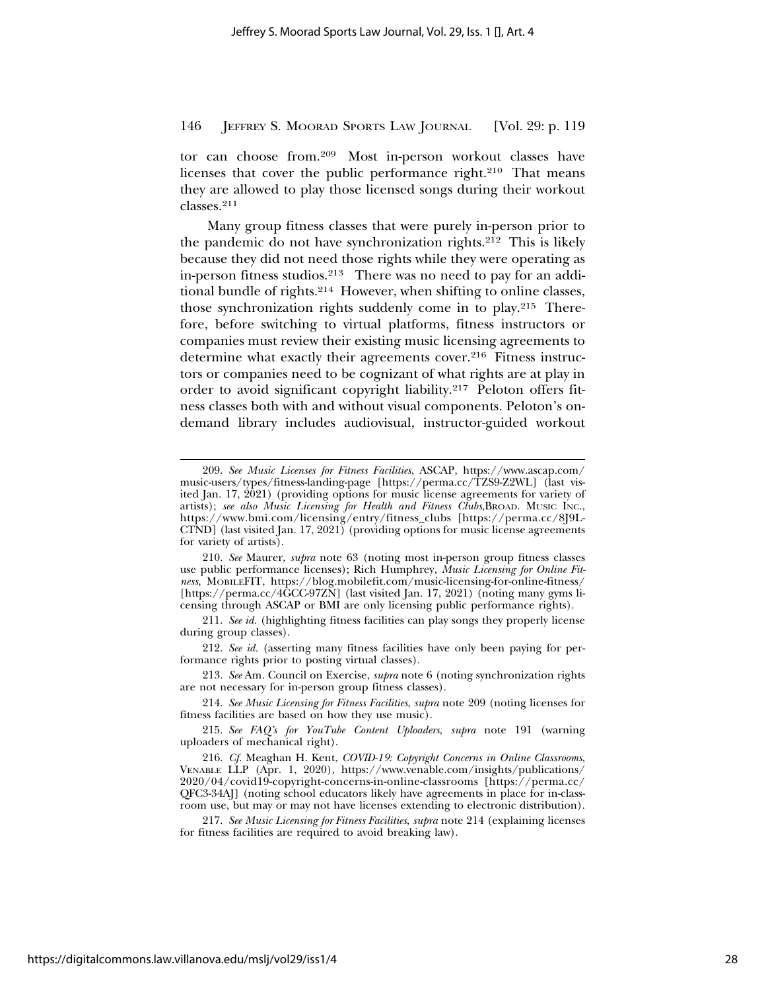tor can choose from.209 Most in-person workout classes have licenses that cover the public performance right.<sup>210</sup> That means they are allowed to play those licensed songs during their workout classes.211

Many group fitness classes that were purely in-person prior to the pandemic do not have synchronization rights.212 This is likely because they did not need those rights while they were operating as in-person fitness studios.213 There was no need to pay for an additional bundle of rights.214 However, when shifting to online classes, those synchronization rights suddenly come in to play.215 Therefore, before switching to virtual platforms, fitness instructors or companies must review their existing music licensing agreements to determine what exactly their agreements cover.<sup>216</sup> Fitness instructors or companies need to be cognizant of what rights are at play in order to avoid significant copyright liability.217 Peloton offers fitness classes both with and without visual components. Peloton's ondemand library includes audiovisual, instructor-guided workout

210. *See* Maurer, *supra* note 63 (noting most in-person group fitness classes use public performance licenses); Rich Humphrey, *Music Licensing for Online Fitness*, MOBILEFIT, https://blog.mobilefit.com/music-licensing-for-online-fitness/ [https://perma.cc/4GCC-97ZN] (last visited Jan. 17, 2021) (noting many gyms licensing through ASCAP or BMI are only licensing public performance rights).

211. *See id.* (highlighting fitness facilities can play songs they properly license during group classes).

212. *See id.* (asserting many fitness facilities have only been paying for performance rights prior to posting virtual classes).

213. *See* Am. Council on Exercise, *supra* note 6 (noting synchronization rights are not necessary for in-person group fitness classes).

215. *See FAQ's for YouTube Content Uploaders*, *supra* note 191 (warning uploaders of mechanical right).

216. *Cf.* Meaghan H. Kent, *COVID-19: Copyright Concerns in Online Classrooms*, VENABLE LLP (Apr. 1, 2020), https://www.venable.com/insights/publications/ 2020/04/covid19-copyright-concerns-in-online-classrooms [https://perma.cc/ QFC3-34AJ] (noting school educators likely have agreements in place for in-classroom use, but may or may not have licenses extending to electronic distribution).

217. *See Music Licensing for Fitness Facilities*, *supra* note 214 (explaining licenses for fitness facilities are required to avoid breaking law).

<sup>209.</sup> *See Music Licenses for Fitness Facilities*, ASCAP, https://www.ascap.com/ music-users/types/fitness-landing-page [https://perma.cc/TZS9-Z2WL] (last visited Jan. 17, 2021) (providing options for music license agreements for variety of artists); *see also Music Licensing for Health and Fitness Clubs*,BROAD. MUSIC INC., https://www.bmi.com/licensing/entry/fitness\_clubs [https://perma.cc/8J9L-CTND] (last visited Jan. 17, 2021) (providing options for music license agreements for variety of artists).

<sup>214.</sup> *See Music Licensing for Fitness Facilities*, *supra* note 209 (noting licenses for fitness facilities are based on how they use music).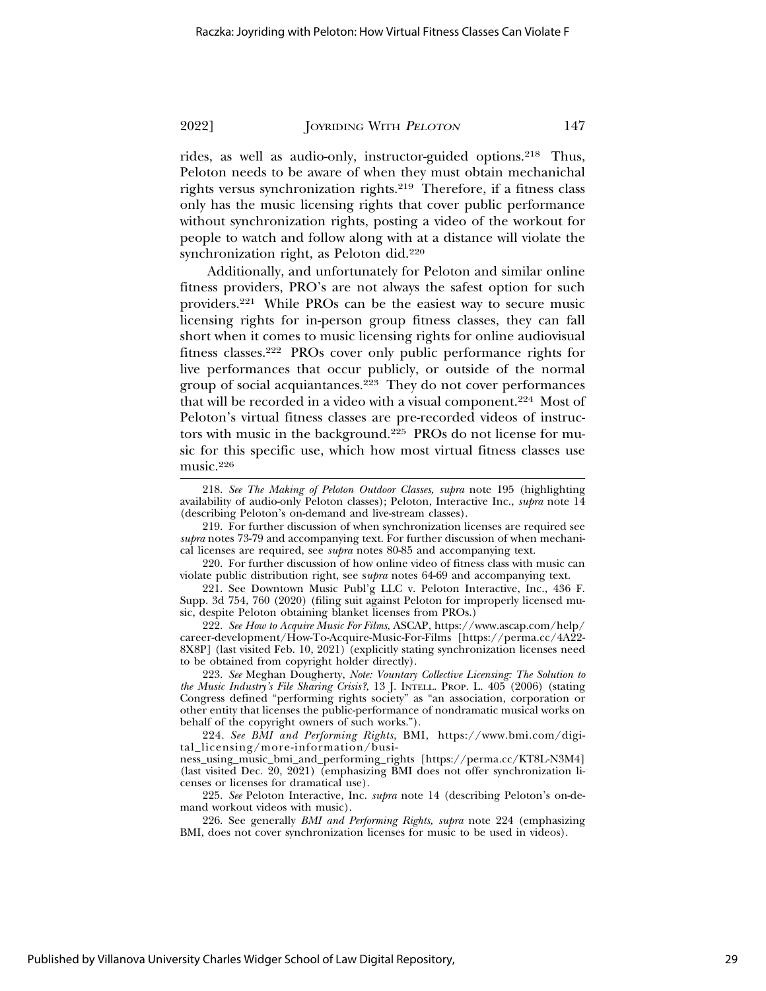rides, as well as audio-only, instructor-guided options.218 Thus, Peloton needs to be aware of when they must obtain mechanichal rights versus synchronization rights.219 Therefore, if a fitness class only has the music licensing rights that cover public performance without synchronization rights, posting a video of the workout for people to watch and follow along with at a distance will violate the synchronization right, as Peloton did.220

Additionally, and unfortunately for Peloton and similar online fitness providers, PRO's are not always the safest option for such providers.221 While PROs can be the easiest way to secure music licensing rights for in-person group fitness classes, they can fall short when it comes to music licensing rights for online audiovisual fitness classes.222 PROs cover only public performance rights for live performances that occur publicly, or outside of the normal group of social acquiantances.223 They do not cover performances that will be recorded in a video with a visual component.224 Most of Peloton's virtual fitness classes are pre-recorded videos of instructors with music in the background.225 PROs do not license for music for this specific use, which how most virtual fitness classes use music.226

218. *See The Making of Peloton Outdoor Classes, supra* note 195 (highlighting availability of audio-only Peloton classes); Peloton, Interactive Inc., *supra* note 14 (describing Peloton's on-demand and live-stream classes).

219. For further discussion of when synchronization licenses are required see *supra* notes 73-79 and accompanying text. For further discussion of when mechanical licenses are required, see *supra* notes 80-85 and accompanying text.

220. For further discussion of how online video of fitness class with music can violate public distribution right, see s*upra* notes 64-69 and accompanying text.

221. See Downtown Music Publ'g LLC v. Peloton Interactive, Inc., 436 F. Supp. 3d 754, 760 (2020) (filing suit against Peloton for improperly licensed music, despite Peloton obtaining blanket licenses from PROs.)

222. *See How to Acquire Music For Films*, ASCAP, https://www.ascap.com/help/ career-development/How-To-Acquire-Music-For-Films [https://perma.cc/4A22- 8X8P] (last visited Feb. 10, 2021) (explicitly stating synchronization licenses need to be obtained from copyright holder directly).

223. *See* Meghan Dougherty, *Note: Vountary Collective Licensing: The Solution to the Music Industry's File Sharing Crisis?*, 13 J. INTELL. PROP. L. 405 (2006) (stating Congress defined "performing rights society" as "an association, corporation or other entity that licenses the public-performance of nondramatic musical works on behalf of the copyright owners of such works.").

224. *See BMI and Performing Rights*, BMI, https://www.bmi.com/digital\_licensing/more-information/busi-

ness\_using\_music\_bmi\_and\_performing\_rights [https://perma.cc/KT8L-N3M4] (last visited Dec. 20, 2021) (emphasizing BMI does not offer synchronization licenses or licenses for dramatical use).

225. *See* Peloton Interactive, Inc. *supra* note 14 (describing Peloton's on-demand workout videos with music).

226. See generally *BMI and Performing Rights, supra* note 224 (emphasizing BMI, does not cover synchronization licenses for music to be used in videos).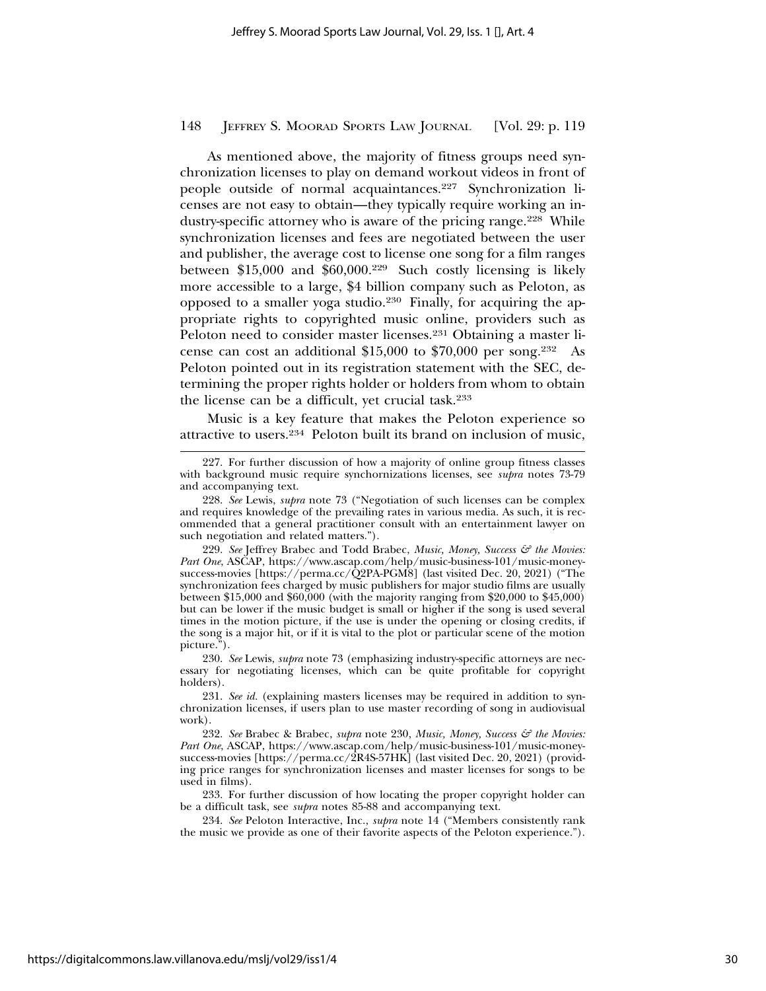As mentioned above, the majority of fitness groups need synchronization licenses to play on demand workout videos in front of people outside of normal acquaintances.227 Synchronization licenses are not easy to obtain—they typically require working an industry-specific attorney who is aware of the pricing range.<sup>228</sup> While synchronization licenses and fees are negotiated between the user and publisher, the average cost to license one song for a film ranges between \$15,000 and \$60,000.229 Such costly licensing is likely more accessible to a large, \$4 billion company such as Peloton, as opposed to a smaller yoga studio.230 Finally, for acquiring the appropriate rights to copyrighted music online, providers such as Peloton need to consider master licenses.231 Obtaining a master license can cost an additional \$15,000 to \$70,000 per song.232 As Peloton pointed out in its registration statement with the SEC, determining the proper rights holder or holders from whom to obtain the license can be a difficult, yet crucial task.233

Music is a key feature that makes the Peloton experience so attractive to users.234 Peloton built its brand on inclusion of music,

<sup>227.</sup> For further discussion of how a majority of online group fitness classes with background music require synchornizations licenses, see *supra* notes 73-79 and accompanying text.

<sup>228.</sup> *See* Lewis, *supra* note 73 ("Negotiation of such licenses can be complex and requires knowledge of the prevailing rates in various media. As such, it is recommended that a general practitioner consult with an entertainment lawyer on such negotiation and related matters.").

<sup>229.</sup> See Jeffrey Brabec and Todd Brabec, *Music, Money, Success & the Movies: Part One*, ASCAP, https://www.ascap.com/help/music-business-101/music-moneysuccess-movies [https://perma.cc/Q2PA-PGM8] (last visited Dec. 20, 2021) ("The synchronization fees charged by music publishers for major studio films are usually between \$15,000 and \$60,000 (with the majority ranging from \$20,000 to \$45,000) but can be lower if the music budget is small or higher if the song is used several times in the motion picture, if the use is under the opening or closing credits, if the song is a major hit, or if it is vital to the plot or particular scene of the motion picture.").

<sup>230.</sup> *See* Lewis, *supra* note 73 (emphasizing industry-specific attorneys are necessary for negotiating licenses, which can be quite profitable for copyright holders).

<sup>231.</sup> *See id.* (explaining masters licenses may be required in addition to synchronization licenses, if users plan to use master recording of song in audiovisual work).

<sup>232.</sup> *See* Brabec & Brabec, *supra* note 230, *Music, Money, Success & the Movies: Part One*, ASCAP, https://www.ascap.com/help/music-business-101/music-moneysuccess-movies [https://perma.cc/2R4S-57HK] (last visited Dec. 20, 2021) (providing price ranges for synchronization licenses and master licenses for songs to be used in films).

<sup>233.</sup> For further discussion of how locating the proper copyright holder can be a difficult task, see *supra* notes 85-88 and accompanying text.

<sup>234.</sup> *See* Peloton Interactive, Inc., *supra* note 14 ("Members consistently rank the music we provide as one of their favorite aspects of the Peloton experience.").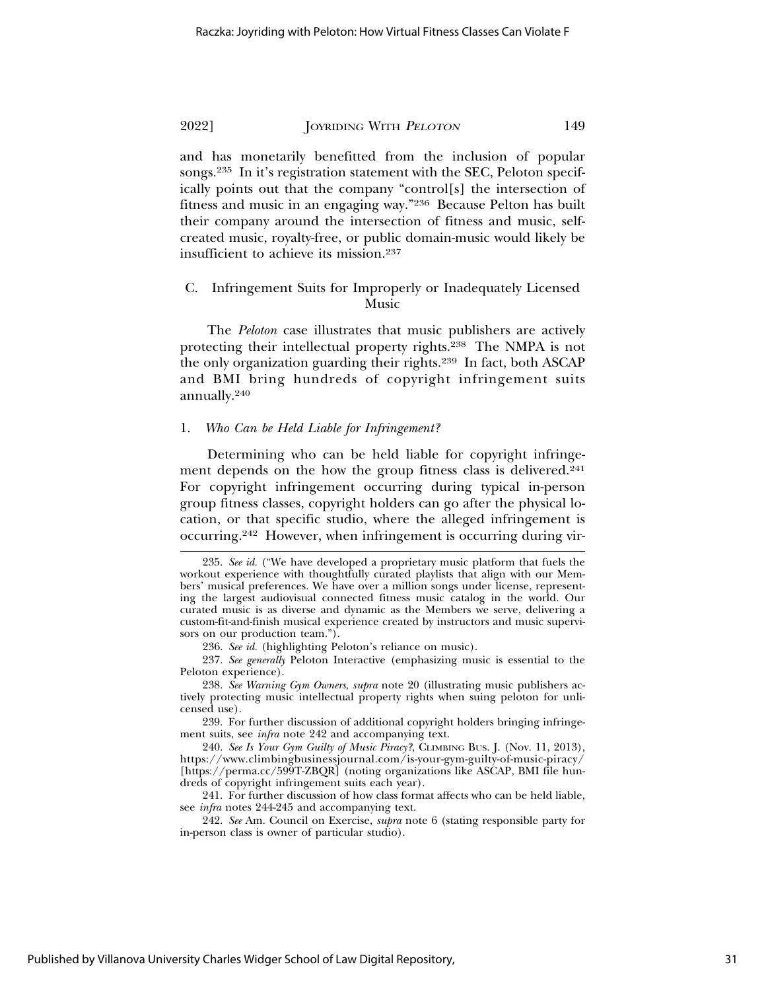and has monetarily benefitted from the inclusion of popular songs.235 In it's registration statement with the SEC, Peloton specifically points out that the company "control[s] the intersection of fitness and music in an engaging way."236 Because Pelton has built their company around the intersection of fitness and music, selfcreated music, royalty-free, or public domain-music would likely be insufficient to achieve its mission.237

# C. Infringement Suits for Improperly or Inadequately Licensed Music

The *Peloton* case illustrates that music publishers are actively protecting their intellectual property rights.238 The NMPA is not the only organization guarding their rights.239 In fact, both ASCAP and BMI bring hundreds of copyright infringement suits annually.240

### 1. *Who Can be Held Liable for Infringement?*

Determining who can be held liable for copyright infringement depends on the how the group fitness class is delivered.<sup>241</sup> For copyright infringement occurring during typical in-person group fitness classes, copyright holders can go after the physical location, or that specific studio, where the alleged infringement is occurring.242 However, when infringement is occurring during vir-

<sup>235.</sup> *See id.* ("We have developed a proprietary music platform that fuels the workout experience with thoughtfully curated playlists that align with our Members' musical preferences. We have over a million songs under license, representing the largest audiovisual connected fitness music catalog in the world. Our curated music is as diverse and dynamic as the Members we serve, delivering a custom-fit-and-finish musical experience created by instructors and music supervisors on our production team.").

<sup>236.</sup> *See id.* (highlighting Peloton's reliance on music).

<sup>237.</sup> *See generally* Peloton Interactive (emphasizing music is essential to the Peloton experience).

<sup>238.</sup> *See Warning Gym Owners*, *supra* note 20 (illustrating music publishers actively protecting music intellectual property rights when suing peloton for unlicensed use).

<sup>239.</sup> For further discussion of additional copyright holders bringing infringement suits, see *infra* note 242 and accompanying text.

<sup>240.</sup> *See Is Your Gym Guilty of Music Piracy?*, CLIMBING BUS. J. (Nov. 11, 2013), https://www.climbingbusinessjournal.com/is-your-gym-guilty-of-music-piracy/ [https://perma.cc/599T-ZBQR] (noting organizations like ASCAP, BMI file hundreds of copyright infringement suits each year).

<sup>241.</sup> For further discussion of how class format affects who can be held liable, see *infra* notes 244-245 and accompanying text.

<sup>242.</sup> *See* Am. Council on Exercise, *supra* note 6 (stating responsible party for in-person class is owner of particular studio).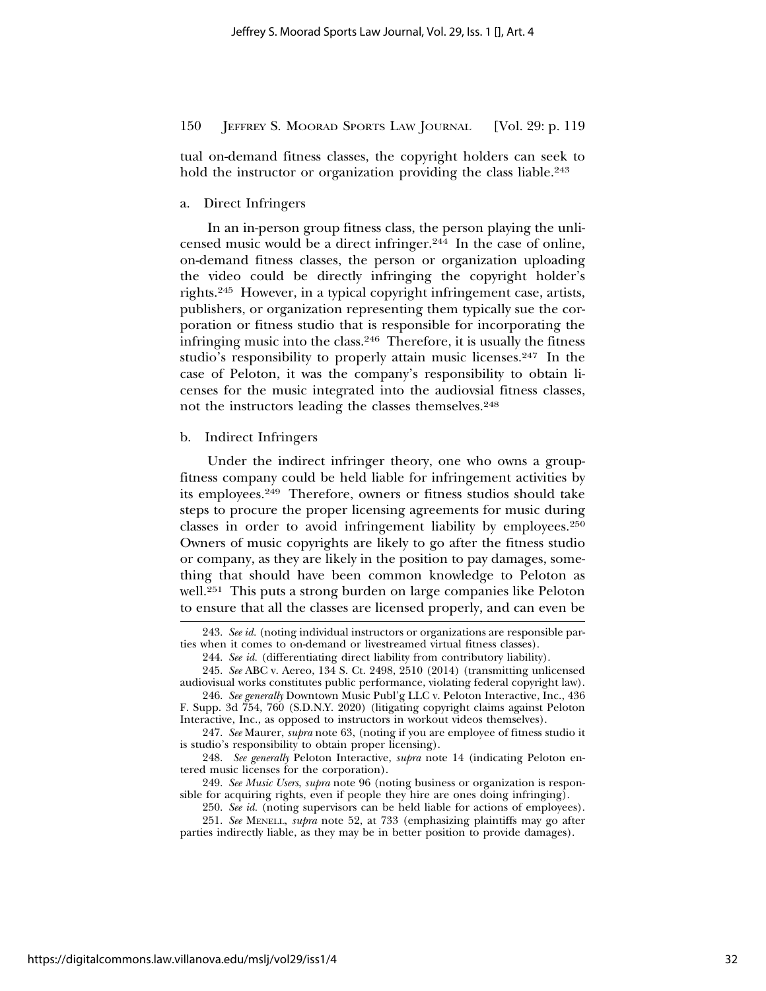tual on-demand fitness classes, the copyright holders can seek to hold the instructor or organization providing the class liable.<sup>243</sup>

a. Direct Infringers

In an in-person group fitness class, the person playing the unlicensed music would be a direct infringer.244 In the case of online, on-demand fitness classes, the person or organization uploading the video could be directly infringing the copyright holder's rights.245 However, in a typical copyright infringement case, artists, publishers, or organization representing them typically sue the corporation or fitness studio that is responsible for incorporating the infringing music into the class.246 Therefore, it is usually the fitness studio's responsibility to properly attain music licenses.<sup>247</sup> In the case of Peloton, it was the company's responsibility to obtain licenses for the music integrated into the audiovsial fitness classes, not the instructors leading the classes themselves.248

b. Indirect Infringers

Under the indirect infringer theory, one who owns a groupfitness company could be held liable for infringement activities by its employees.249 Therefore, owners or fitness studios should take steps to procure the proper licensing agreements for music during classes in order to avoid infringement liability by employees.250 Owners of music copyrights are likely to go after the fitness studio or company, as they are likely in the position to pay damages, something that should have been common knowledge to Peloton as well.251 This puts a strong burden on large companies like Peloton to ensure that all the classes are licensed properly, and can even be

<sup>243.</sup> *See id.* (noting individual instructors or organizations are responsible parties when it comes to on-demand or livestreamed virtual fitness classes).

<sup>244.</sup> *See id.* (differentiating direct liability from contributory liability).

<sup>245.</sup> *See* ABC v. Aereo, 134 S. Ct. 2498, 2510 (2014) (transmitting unlicensed audiovisual works constitutes public performance, violating federal copyright law).

<sup>246.</sup> *See generally* Downtown Music Publ'g LLC v. Peloton Interactive, Inc., 436 F. Supp. 3d 754, 760 (S.D.N.Y. 2020) (litigating copyright claims against Peloton Interactive, Inc., as opposed to instructors in workout videos themselves).

<sup>247.</sup> *See* Maurer, *supra* note 63, (noting if you are employee of fitness studio it is studio's responsibility to obtain proper licensing).

<sup>248.</sup> *See generally* Peloton Interactive, *supra* note 14 (indicating Peloton entered music licenses for the corporation).

<sup>249.</sup> *See Music Users*, *supra* note 96 (noting business or organization is responsible for acquiring rights, even if people they hire are ones doing infringing).

<sup>250.</sup> *See id.* (noting supervisors can be held liable for actions of employees).

<sup>251.</sup> *See* MENELL, *supra* note 52, at 733 (emphasizing plaintiffs may go after parties indirectly liable, as they may be in better position to provide damages).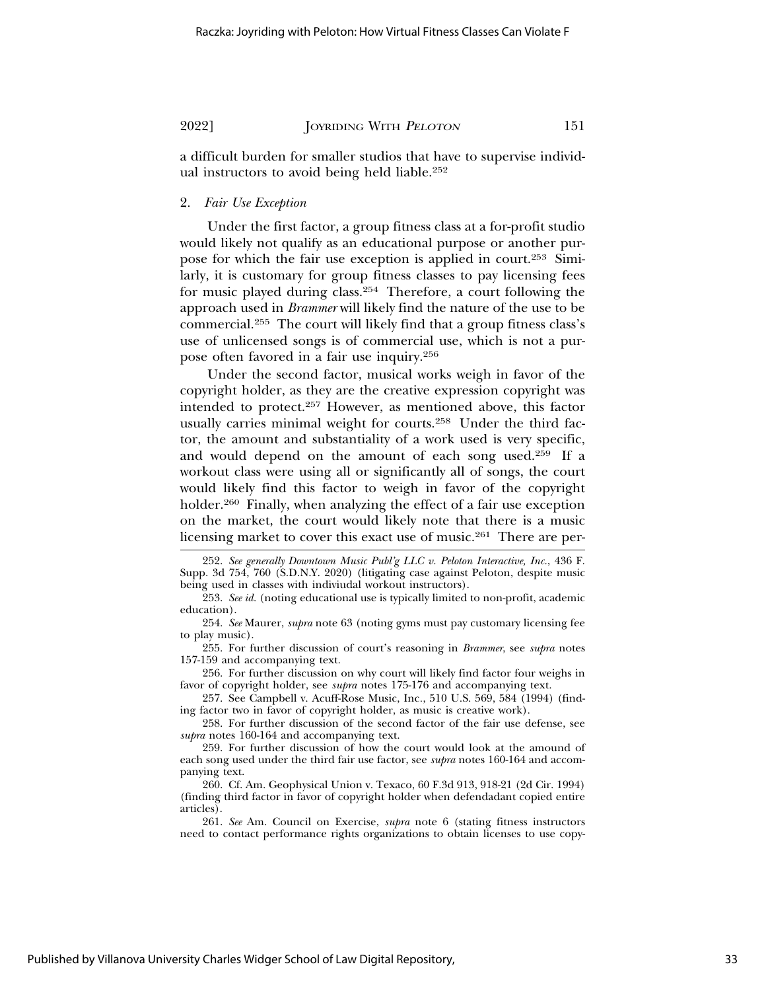a difficult burden for smaller studios that have to supervise individual instructors to avoid being held liable.252

#### 2. *Fair Use Exception*

Under the first factor, a group fitness class at a for-profit studio would likely not qualify as an educational purpose or another purpose for which the fair use exception is applied in court.253 Similarly, it is customary for group fitness classes to pay licensing fees for music played during class.254 Therefore, a court following the approach used in *Brammer* will likely find the nature of the use to be commercial.255 The court will likely find that a group fitness class's use of unlicensed songs is of commercial use, which is not a purpose often favored in a fair use inquiry.256

Under the second factor, musical works weigh in favor of the copyright holder, as they are the creative expression copyright was intended to protect.257 However, as mentioned above, this factor usually carries minimal weight for courts.<sup>258</sup> Under the third factor, the amount and substantiality of a work used is very specific, and would depend on the amount of each song used.259 If a workout class were using all or significantly all of songs, the court would likely find this factor to weigh in favor of the copyright holder.<sup>260</sup> Finally, when analyzing the effect of a fair use exception on the market, the court would likely note that there is a music licensing market to cover this exact use of music.<sup>261</sup> There are per-

<sup>252.</sup> *See generally Downtown Music Publ'g LLC v. Peloton Interactive, Inc.*, 436 F. Supp. 3d 754, 760 (S.D.N.Y. 2020) (litigating case against Peloton, despite music being used in classes with indiviudal workout instructors).

<sup>253.</sup> *See id.* (noting educational use is typically limited to non-profit, academic education).

<sup>254.</sup> *See* Maurer, *supra* note 63 (noting gyms must pay customary licensing fee to play music).

<sup>255.</sup> For further discussion of court's reasoning in *Brammer*, see *supra* notes 157-159 and accompanying text.

<sup>256.</sup> For further discussion on why court will likely find factor four weighs in favor of copyright holder, see *supra* notes 175-176 and accompanying text.

<sup>257.</sup> See Campbell v. Acuff-Rose Music, Inc*.*, 510 U.S. 569, 584 (1994) (finding factor two in favor of copyright holder, as music is creative work).

<sup>258.</sup> For further discussion of the second factor of the fair use defense, see *supra* notes 160-164 and accompanying text.

<sup>259.</sup> For further discussion of how the court would look at the amound of each song used under the third fair use factor, see *supra* notes 160-164 and accompanying text.

<sup>260.</sup> Cf. Am. Geophysical Union v. Texaco, 60 F.3d 913, 918-21 (2d Cir. 1994) (finding third factor in favor of copyright holder when defendadant copied entire articles).

<sup>261.</sup> *See* Am. Council on Exercise, *supra* note 6 (stating fitness instructors need to contact performance rights organizations to obtain licenses to use copy-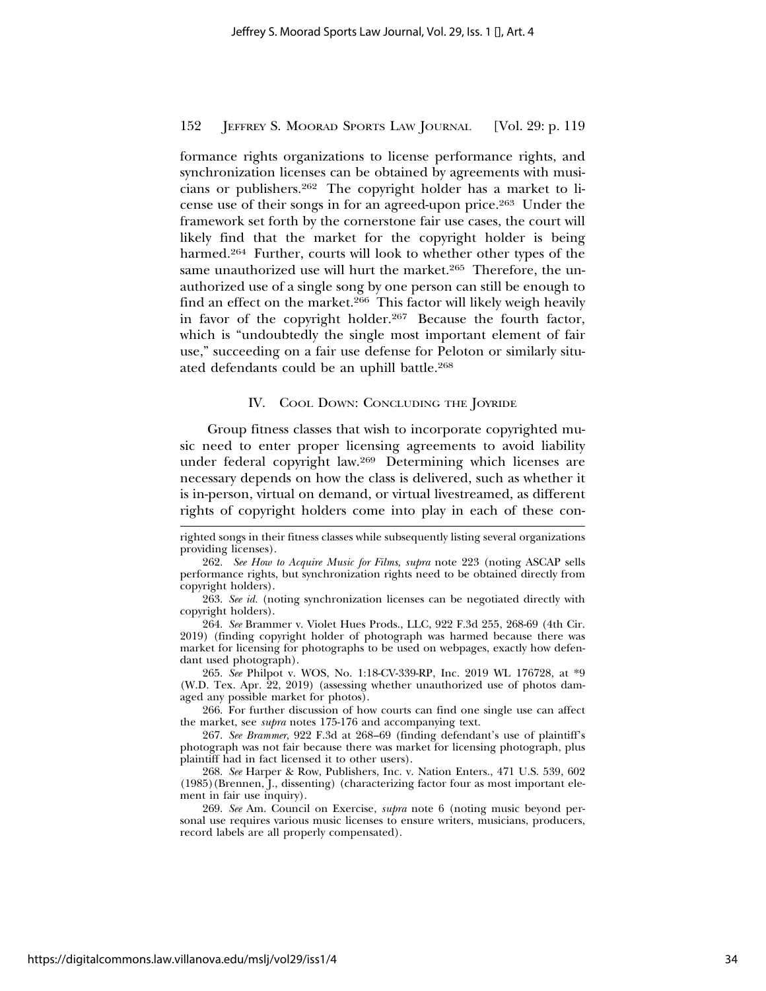formance rights organizations to license performance rights, and synchronization licenses can be obtained by agreements with musicians or publishers.262 The copyright holder has a market to license use of their songs in for an agreed-upon price.263 Under the framework set forth by the cornerstone fair use cases, the court will likely find that the market for the copyright holder is being harmed.<sup>264</sup> Further, courts will look to whether other types of the same unauthorized use will hurt the market.<sup>265</sup> Therefore, the unauthorized use of a single song by one person can still be enough to find an effect on the market.<sup>266</sup> This factor will likely weigh heavily in favor of the copyright holder.<sup>267</sup> Because the fourth factor, which is "undoubtedly the single most important element of fair use," succeeding on a fair use defense for Peloton or similarly situated defendants could be an uphill battle.268

#### IV. COOL DOWN: CONCLUDING THE JOYRIDE

Group fitness classes that wish to incorporate copyrighted music need to enter proper licensing agreements to avoid liability under federal copyright law.269 Determining which licenses are necessary depends on how the class is delivered, such as whether it is in-person, virtual on demand, or virtual livestreamed, as different rights of copyright holders come into play in each of these con-

265. *See* Philpot v. WOS, No. 1:18-CV-339-RP, Inc. 2019 WL 176728, at \*9 (W.D. Tex. Apr. 22, 2019) (assessing whether unauthorized use of photos damaged any possible market for photos).

266. For further discussion of how courts can find one single use can affect the market, see *supra* notes 175-176 and accompanying text.

267. *See Brammer*, 922 F.3d at 268–69 (finding defendant's use of plaintiff's photograph was not fair because there was market for licensing photograph, plus plaintiff had in fact licensed it to other users).

268. *See* Harper & Row, Publishers, Inc. v. Nation Enters., 471 U.S. 539, 602 (1985)(Brennen, J., dissenting) (characterizing factor four as most important element in fair use inquiry).

269. *See* Am. Council on Exercise, *supra* note 6 (noting music beyond personal use requires various music licenses to ensure writers, musicians, producers, record labels are all properly compensated).

righted songs in their fitness classes while subsequently listing several organizations providing licenses).

<sup>262.</sup> *See How to Acquire Music for Films*, *supra* note 223 (noting ASCAP sells performance rights, but synchronization rights need to be obtained directly from copyright holders).

<sup>263.</sup> *See id.* (noting synchronization licenses can be negotiated directly with copyright holders).

<sup>264.</sup> *See* Brammer v. Violet Hues Prods., LLC, 922 F.3d 255, 268-69 (4th Cir. 2019) (finding copyright holder of photograph was harmed because there was market for licensing for photographs to be used on webpages, exactly how defendant used photograph).